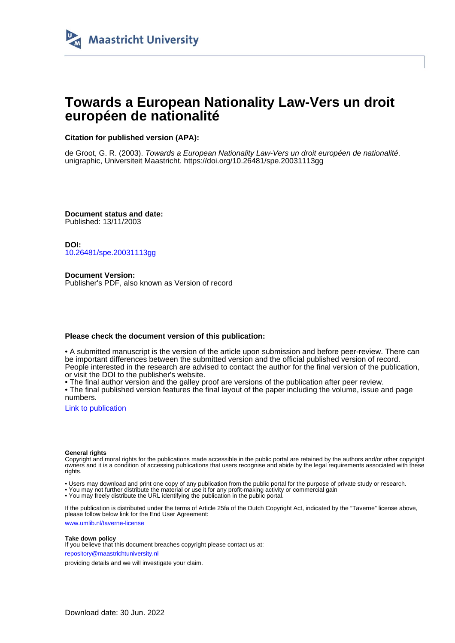

# **Towards a European Nationality Law-Vers un droit européen de nationalité**

# **Citation for published version (APA):**

de Groot, G. R. (2003). Towards a European Nationality Law-Vers un droit européen de nationalité. unigraphic, Universiteit Maastricht. <https://doi.org/10.26481/spe.20031113gg>

**Document status and date:** Published: 13/11/2003

**DOI:** [10.26481/spe.20031113gg](https://doi.org/10.26481/spe.20031113gg)

**Document Version:** Publisher's PDF, also known as Version of record

# **Please check the document version of this publication:**

• A submitted manuscript is the version of the article upon submission and before peer-review. There can be important differences between the submitted version and the official published version of record. People interested in the research are advised to contact the author for the final version of the publication, or visit the DOI to the publisher's website.

• The final author version and the galley proof are versions of the publication after peer review.

• The final published version features the final layout of the paper including the volume, issue and page numbers.

[Link to publication](https://cris.maastrichtuniversity.nl/en/publications/ad1feb3a-2afa-4211-be6b-39824def309d)

#### **General rights**

Copyright and moral rights for the publications made accessible in the public portal are retained by the authors and/or other copyright owners and it is a condition of accessing publications that users recognise and abide by the legal requirements associated with these rights.

• Users may download and print one copy of any publication from the public portal for the purpose of private study or research.

• You may not further distribute the material or use it for any profit-making activity or commercial gain

• You may freely distribute the URL identifying the publication in the public portal.

If the publication is distributed under the terms of Article 25fa of the Dutch Copyright Act, indicated by the "Taverne" license above, please follow below link for the End User Agreement:

www.umlib.nl/taverne-license

### **Take down policy**

If you believe that this document breaches copyright please contact us at: repository@maastrichtuniversity.nl

providing details and we will investigate your claim.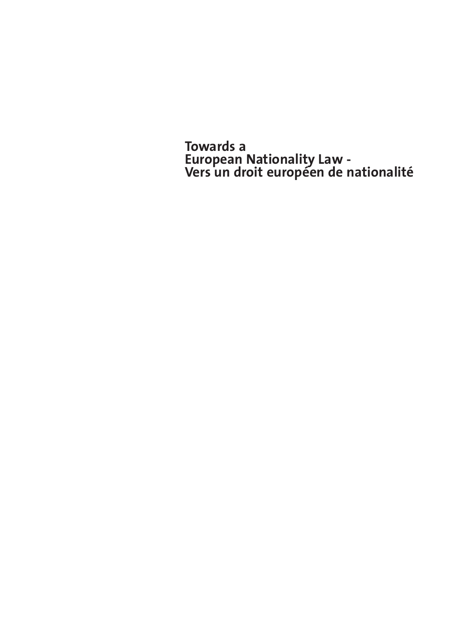**Towards a European Nationality Law - Vers un droit européen de nationalité**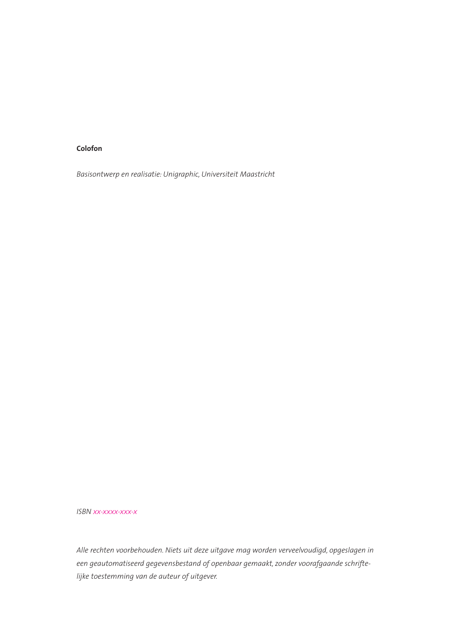#### **Colofon**

*Basisontwerp en realisatie: Unigraphic, Universiteit Maastricht*

*ISBN xx-xxxx-xxx-x*

*Alle rechten voorbehouden. Niets uit deze uitgave mag worden verveelvoudigd, opgeslagen in een geautomatiseerd gegevensbestand of openbaar gemaakt, zonder voorafgaande schriftelijke toestemming van de auteur of uitgever.*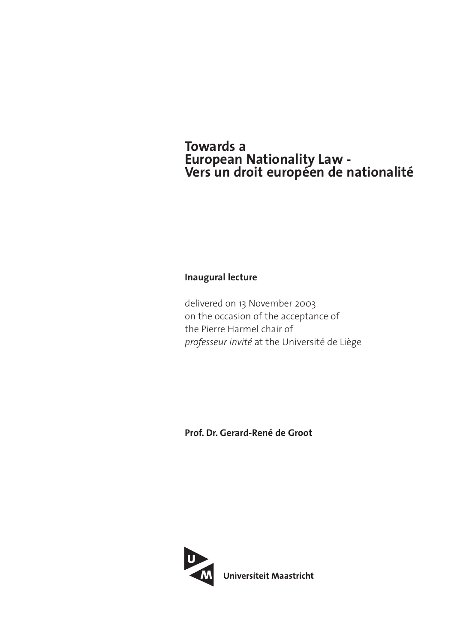# **Towards a European Nationality Law - Vers un droit européen de nationalité**

# **Inaugural lecture**

delivered on 13 November 2003 on the occasion of the acceptance of the Pierre Harmel chair of *professeur invité* at the Université de Liège

**Prof. Dr. Gerard-René de Groot**

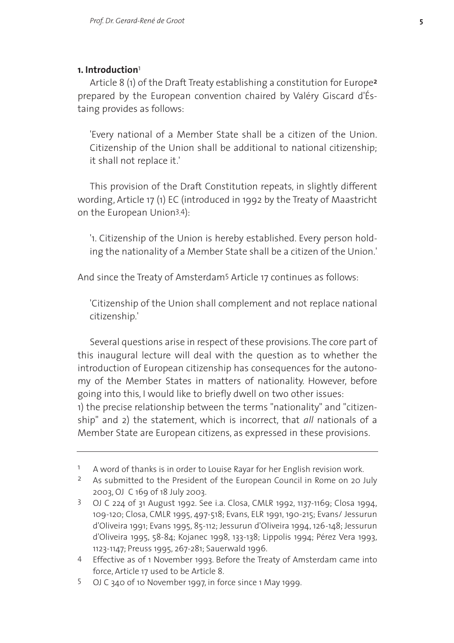#### **1. Introduction**1

Article 8 (1) of the Draft Treaty establishing a constitution for Europe**2** prepared by the European convention chaired by Valéry Giscard d'Éstaing provides as follows:

'Every national of a Member State shall be a citizen of the Union. Citizenship of the Union shall be additional to national citizenship; it shall not replace it.'

This provision of the Draft Constitution repeats, in slightly different wording, Article 17 (1) EC (introduced in 1992 by the Treaty of Maastricht on the European Union3. 4):

'1. Citizenship of the Union is hereby established. Every person holding the nationality of a Member State shall be a citizen of the Union.'

And since the Treaty of Amsterdam5 Article 17 continues as follows:

'Citizenship of the Union shall complement and not replace national citizenship.'

Several questions arise in respect of these provisions. The core part of this inaugural lecture will deal with the question as to whether the introduction of European citizenship has consequences for the autonomy of the Member States in matters of nationality. However, before going into this, I would like to briefly dwell on two other issues: 1) the precise relationship between the terms "nationality" and "citizenship" and 2) the statement, which is incorrect, that *all* nationals of a Member State are European citizens, as expressed in these provisions.

<sup>1</sup> A word of thanks is in order to Louise Rayar for her English revision work.

<sup>&</sup>lt;sup>2</sup> As submitted to the President of the European Council in Rome on 20 July 2003, OJ C 169 of 18 July 2003.

<sup>3</sup> OJ C 224 of 31 August 1992. See i.a. Closa, CMLR 1992, 1137-1169; Closa 1994, 109-120; Closa, CMLR 1995, 497-518; Evans, ELR 1991, 190-215; Evans/ Jessurun d'Oliveira 1991; Evans 1995, 85-112; Jessurun d'Oliveira 1994, 126-148; Jessurun d'Oliveira 1995, 58-84; Kojanec 1998, 133-138; Lippolis 1994; Pérez Vera 1993, 1123-1147; Preuss 1995, 267-281; Sauerwald 1996.

<sup>4</sup> Effective as of 1 November 1993. Before the Treaty of Amsterdam came into force, Article 17 used to be Article 8.

<sup>5</sup> OJ C 340 of 10 November 1997, in force since 1 May 1999.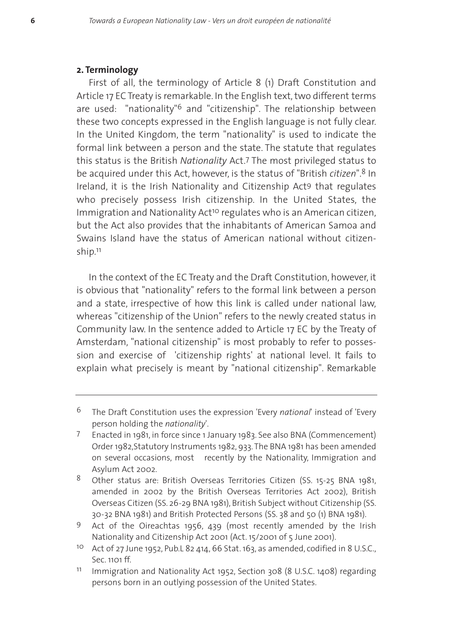#### **2. Terminology**

First of all, the terminology of Article 8 (1) Draft Constitution and Article 17 EC Treaty is remarkable. In the English text, two different terms are used: "nationality"<sup>6</sup> and "citizenship". The relationship between these two concepts expressed in the English language is not fully clear. In the United Kingdom, the term "nationality" is used to indicate the formal link between a person and the state. The statute that regulates this status is the British *Nationality* Act.7 The most privileged status to be acquired under this Act, however, is the status of "British *citizen*".8 In Ireland, it is the Irish Nationality and Citizenship Act9 that regulates who precisely possess Irish citizenship. In the United States, the Immigration and Nationality Act<sup>10</sup> regulates who is an American citizen, but the Act also provides that the inhabitants of American Samoa and Swains Island have the status of American national without citizenship.11

In the context of the EC Treaty and the Draft Constitution, however, it is obvious that "nationality" refers to the formal link between a person and a state, irrespective of how this link is called under national law, whereas "citizenship of the Union" refers to the newly created status in Community law. In the sentence added to Article 17 EC by the Treaty of Amsterdam, "national citizenship" is most probably to refer to possession and exercise of 'citizenship rights' at national level. It fails to explain what precisely is meant by "national citizenship". Remarkable

<sup>6</sup> The Draft Constitution uses the expression 'Every *national*' instead of 'Every person holding the *nationality*'.

<sup>7</sup> Enacted in 1981, in force since 1 January 1983. See also BNA (Commencement) Order 1982,Statutory Instruments 1982, 933. The BNA 1981 has been amended on several occasions, most recently by the Nationality, Immigration and Asylum Act 2002.

<sup>8</sup> Other status are: British Overseas Territories Citizen (SS. 15-25 BNA 1981, amended in 2002 by the British Overseas Territories Act 2002), British Overseas Citizen (SS. 26-29 BNA 1981), British Subject without Citizenship (SS. 30-32 BNA 1981) and British Protected Persons (SS. 38 and 50 (1) BNA 1981).

<sup>9</sup> Act of the Oireachtas 1956, 439 (most recently amended by the Irish Nationality and Citizenship Act 2001 (Act. 15/2001 of 5 June 2001).

<sup>10</sup> Act of 27 June 1952, Pub.L 82 414, 66 Stat. 163, as amended, codified in 8 U.S.C., Sec. 1101 ff.

<sup>11</sup> Immigration and Nationality Act 1952, Section 308 (8 U.S.C. 1408) regarding persons born in an outlying possession of the United States.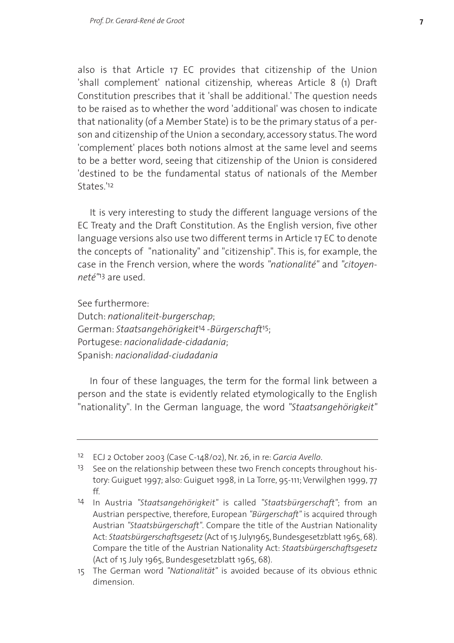also is that Article 17 EC provides that citizenship of the Union 'shall complement' national citizenship, whereas Article 8 (1) Draft Constitution prescribes that it 'shall be additional.' The question needs to be raised as to whether the word 'additional' was chosen to indicate that nationality (of a Member State) is to be the primary status of a person and citizenship of the Union a secondary, accessory status. The word 'complement' places both notions almost at the same level and seems to be a better word, seeing that citizenship of the Union is considered 'destined to be the fundamental status of nationals of the Member States<sup>'12</sup>

It is very interesting to study the different language versions of the EC Treaty and the Draft Constitution. As the English version, five other language versions also use two different terms in Article 17 EC to denote the concepts of "nationality" and "citizenship". This is, for example, the case in the French version, where the words *"nationalité"* and *"citoyenneté"*13 are used.

See furthermore:

Dutch: *nationaliteit-burgerschap*; German: *Staatsangehörigkeit*14 -*Bürgerschaft*15; Portugese: *nacionalidade-cidadania*; Spanish: *nacionalidad-ciudadania*

In four of these languages, the term for the formal link between a person and the state is evidently related etymologically to the English "nationality". In the German language, the word *"Staatsangehörigkeit"*

<sup>12</sup> ECJ 2 October 2003 (Case C-148/02), Nr. 26, in re: *Garcia Avello*.

<sup>&</sup>lt;sup>13</sup> See on the relationship between these two French concepts throughout history: Guiguet 1997; also: Guiguet 1998, in La Torre, 95-111; Verwilghen 1999, 77 ff.

<sup>14</sup> In Austria *"Staatsangehörigkeit"* is called *"Staatsbürgerschaft"*; from an Austrian perspective, therefore, European *"Bürgerschaft"* is acquired through Austrian *"Staatsbürgerschaft"*. Compare the title of the Austrian Nationality Act: *Staatsbürgerschaftsgesetz* (Act of 15 July1965, Bundesgesetzblatt 1965, 68). Compare the title of the Austrian Nationality Act: *Staatsbürgerschaftsgesetz* (Act of 15 July 1965, Bundesgesetzblatt 1965, 68).

<sup>15</sup> The German word *"Nationalität"* is avoided because of its obvious ethnic dimension.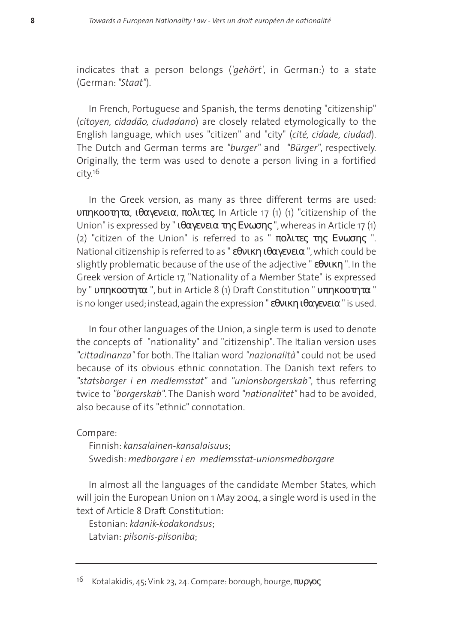indicates that a person belongs (*'gehört'*, in German:) to a state (German: *"Staat"*).

In French, Portuguese and Spanish, the terms denoting "citizenship" (*citoyen, cidadão, ciudadano*) are closely related etymologically to the English language, which uses "citizen" and "city" (*cité, cidade, ciudad*). The Dutch and German terms are *"burger"* and *"Bürger"*, respectively. Originally, the term was used to denote a person living in a fortified city.16

In the Greek version, as many as three different terms are used: υπηκοοτητα, ιθαγενεια, πολιτες. In Article 17 (1) (1) "citizenship of the Union" is expressed by "  $\theta$ αγενεια της Ενωσης ", whereas in Article 17 (1) (2) "citizen of the Union" is referred to as " πολιτες της Ενωσης ". National citizenship is referred to as " εθνικη ιθαγενεια ", which could be slightly problematic because of the use of the adjective " εθνικη ". In the Greek version of Article 17, "Nationality of a Member State" is expressed by " υπηκοοτητα ", but in Article 8 (1) Draft Constitution " υπηκοοτητα " is no longer used; instead, again the expression " εθνικη ιθαγενεια " is used.

In four other languages of the Union, a single term is used to denote the concepts of "nationality" and "citizenship". The Italian version uses *"cittadinanza"* for both. The Italian word *"nazionalità"* could not be used because of its obvious ethnic connotation. The Danish text refers to *"statsborger i en medlemsstat"* and *"unionsborgerskab"*, thus referring twice to *"borgerskab"*. The Danish word *"nationalitet"* had to be avoided, also because of its "ethnic" connotation.

Compare:

Finnish: *kansalainen-kansalaisuus*; Swedish: *medborgare i en medlemsstat-unionsmedborgare*

In almost all the languages of the candidate Member States, which will join the European Union on 1 May 2004, a single word is used in the text of Article 8 Draft Constitution:

Estonian: *kdanik-kodakondsus*; Latvian: *pilsonis-pilsoniba*;

<sup>&</sup>lt;sup>16</sup> Kotalakidis, 45; Vink 23, 24. Compare: borough, bourge, πυργος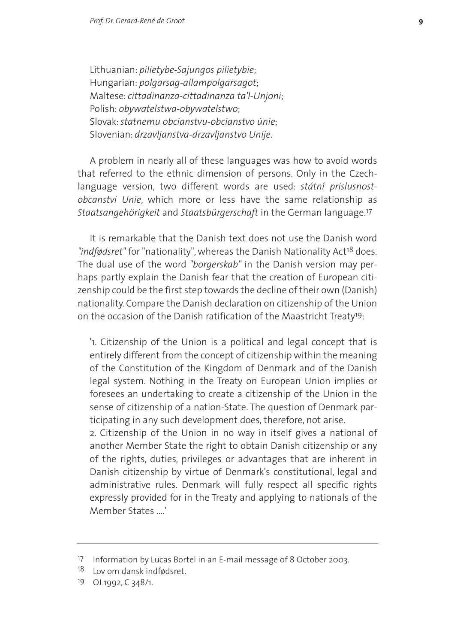Lithuanian: *pilietybe-Sajungos pilietybie*; Hungarian: *polgarsag-allampolgarsagot*; Maltese: *cittadinanza-cittadinanza ta'l-Unjoni*; Polish: *obywatelstwa-obywatelstwo*; Slovak:*statnemu obcianstvu-obcianstvo únie*; Slovenian: *drzavljanstva-drzavljanstvo Unije*.

A problem in nearly all of these languages was how to avoid words that referred to the ethnic dimension of persons. Only in the Czechlanguage version, two different words are used: *státní prislusnostobcanstvi Unie*, which more or less have the same relationship as *Staatsangehörigkeit* and *Staatsbürgerschaft* in the German language.17

It is remarkable that the Danish text does not use the Danish word *"indfødsret"* for "nationality", whereas the Danish Nationality Act18 does. The dual use of the word *"borgerskab"* in the Danish version may perhaps partly explain the Danish fear that the creation of European citizenship could be the first step towards the decline of their own (Danish) nationality. Compare the Danish declaration on citizenship of the Union on the occasion of the Danish ratification of the Maastricht Treaty19:

'1. Citizenship of the Union is a political and legal concept that is entirely different from the concept of citizenship within the meaning of the Constitution of the Kingdom of Denmark and of the Danish legal system. Nothing in the Treaty on European Union implies or foresees an undertaking to create a citizenship of the Union in the sense of citizenship of a nation-State. The question of Denmark participating in any such development does, therefore, not arise.

2. Citizenship of the Union in no way in itself gives a national of another Member State the right to obtain Danish citizenship or any of the rights, duties, privileges or advantages that are inherent in Danish citizenship by virtue of Denmark's constitutional, legal and administrative rules. Denmark will fully respect all specific rights expressly provided for in the Treaty and applying to nationals of the Member States ....'

<sup>17</sup> Information by Lucas Bortel in an E-mail message of 8 October 2003.

<sup>&</sup>lt;sup>18</sup> Lov om dansk indfødsret.

<sup>19</sup> OJ 1992, C 348/1.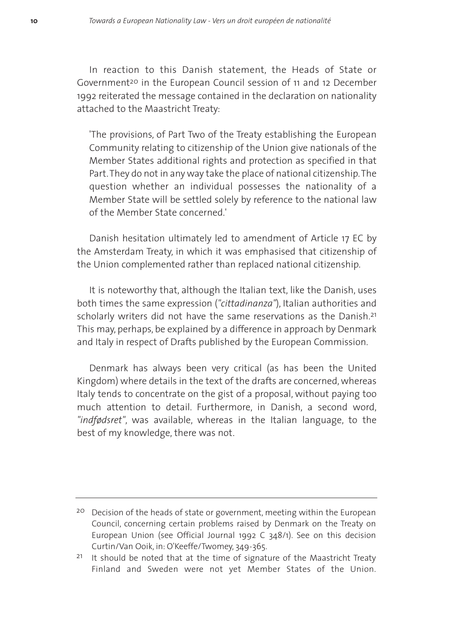In reaction to this Danish statement, the Heads of State or Government<sup>20</sup> in the European Council session of 11 and 12 December 1992 reiterated the message contained in the declaration on nationality attached to the Maastricht Treaty:

'The provisions, of Part Two of the Treaty establishing the European Community relating to citizenship of the Union give nationals of the Member States additional rights and protection as specified in that Part.They do not in any way take the place of national citizenship.The question whether an individual possesses the nationality of a Member State will be settled solely by reference to the national law of the Member State concerned.'

Danish hesitation ultimately led to amendment of Article 17 EC by the Amsterdam Treaty, in which it was emphasised that citizenship of the Union complemented rather than replaced national citizenship.

It is noteworthy that, although the Italian text, like the Danish, uses both times the same expression (*"cittadinanza"*), Italian authorities and scholarly writers did not have the same reservations as the Danish.<sup>21</sup> This may, perhaps, be explained by a difference in approach by Denmark and Italy in respect of Drafts published by the European Commission.

Denmark has always been very critical (as has been the United Kingdom) where details in the text of the drafts are concerned, whereas Italy tends to concentrate on the gist of a proposal, without paying too much attention to detail. Furthermore, in Danish, a second word, *"indfødsret"*, was available, whereas in the Italian language, to the best of my knowledge, there was not.

<sup>&</sup>lt;sup>20</sup> Decision of the heads of state or government, meeting within the European Council, concerning certain problems raised by Denmark on the Treaty on European Union (see Official Journal 1992 C 348/1). See on this decision Curtin/Van Ooik, in: O'Keeffe/Twomey, 349-365.

 $21$  It should be noted that at the time of signature of the Maastricht Treaty Finland and Sweden were not yet Member States of the Union.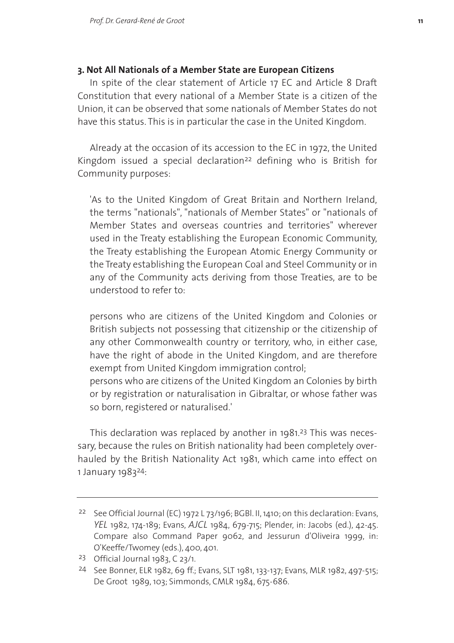## **3. Not All Nationals of a Member State are European Citizens**

In spite of the clear statement of Article 17 EC and Article 8 Draft Constitution that every national of a Member State is a citizen of the Union, it can be observed that some nationals of Member States do not have this status. This is in particular the case in the United Kingdom.

Already at the occasion of its accession to the EC in 1972, the United Kingdom issued a special declaration<sup>22</sup> defining who is British for Community purposes:

'As to the United Kingdom of Great Britain and Northern Ireland, the terms "nationals", "nationals of Member States" or "nationals of Member States and overseas countries and territories" wherever used in the Treaty establishing the European Economic Community, the Treaty establishing the European Atomic Energy Community or the Treaty establishing the European Coal and Steel Community or in any of the Community acts deriving from those Treaties, are to be understood to refer to:

persons who are citizens of the United Kingdom and Colonies or British subjects not possessing that citizenship or the citizenship of any other Commonwealth country or territory, who, in either case, have the right of abode in the United Kingdom, and are therefore exempt from United Kingdom immigration control;

persons who are citizens of the United Kingdom an Colonies by birth or by registration or naturalisation in Gibraltar, or whose father was so born, registered or naturalised.'

This declaration was replaced by another in 1981.23 This was necessary, because the rules on British nationality had been completely overhauled by the British Nationality Act 1981, which came into effect on 1 January 198324:

<sup>&</sup>lt;sup>22</sup> See Official Journal (EC) 1972 L 73/196; BGBl. II, 1410; on this declaration: Evans, *YEL* 1982, 174-189; Evans, *AJCL* 1984, 679-715; Plender, in: Jacobs (ed.), 42-45. Compare also Command Paper 9062, and Jessurun d'Oliveira 1999, in: O'Keeffe/Twomey (eds.), 400, 401.

<sup>23</sup> Official Journal 1983, C 23/1.

<sup>24</sup> See Bonner, ELR 1982, 69 ff.; Evans, SLT 1981, 133-137; Evans, MLR 1982, 497-515; De Groot 1989, 103; Simmonds, CMLR 1984, 675-686.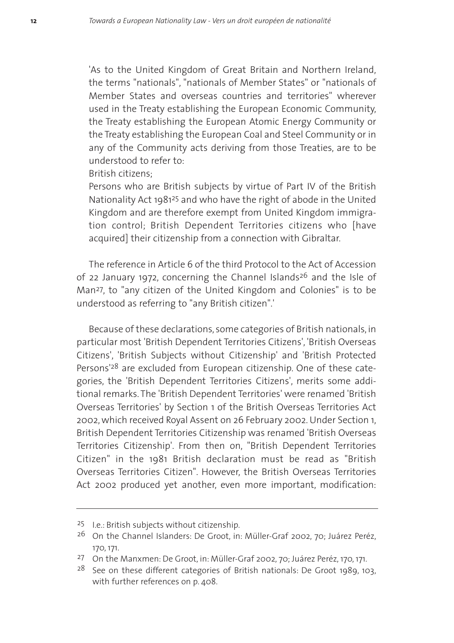'As to the United Kingdom of Great Britain and Northern Ireland, the terms "nationals", "nationals of Member States" or "nationals of Member States and overseas countries and territories" wherever used in the Treaty establishing the European Economic Community, the Treaty establishing the European Atomic Energy Community or the Treaty establishing the European Coal and Steel Community or in any of the Community acts deriving from those Treaties, are to be understood to refer to:

British citizens;

Persons who are British subjects by virtue of Part IV of the British Nationality Act 198125 and who have the right of abode in the United Kingdom and are therefore exempt from United Kingdom immigration control; British Dependent Territories citizens who [have acquired] their citizenship from a connection with Gibraltar.

The reference in Article 6 of the third Protocol to the Act of Accession of 22 January 1972, concerning the Channel Islands<sup>26</sup> and the Isle of Man27, to "any citizen of the United Kingdom and Colonies" is to be understood as referring to "any British citizen".'

Because of these declarations, some categories of British nationals, in particular most 'British Dependent Territories Citizens', 'British Overseas Citizens', 'British Subjects without Citizenship' and 'British Protected Persons'28 are excluded from European citizenship. One of these categories, the 'British Dependent Territories Citizens', merits some additional remarks. The 'British Dependent Territories' were renamed 'British Overseas Territories' by Section 1 of the British Overseas Territories Act 2002, which received Royal Assent on 26 February 2002. Under Section 1, British Dependent Territories Citizenship was renamed 'British Overseas Territories Citizenship'. From then on, "British Dependent Territories Citizen" in the 1981 British declaration must be read as "British Overseas Territories Citizen". However, the British Overseas Territories Act 2002 produced yet another, even more important, modification:

<sup>25</sup> I.e.: British subjects without citizenship.

<sup>26</sup> On the Channel Islanders: De Groot, in: Müller-Graf 2002, 70; Juárez Peréz, 170, 171.

<sup>27</sup> On the Manxmen: De Groot, in: Müller-Graf 2002, 70; Juárez Peréz, 170, 171.

<sup>&</sup>lt;sup>28</sup> See on these different categories of British nationals: De Groot 1989, 103, with further references on p. 408.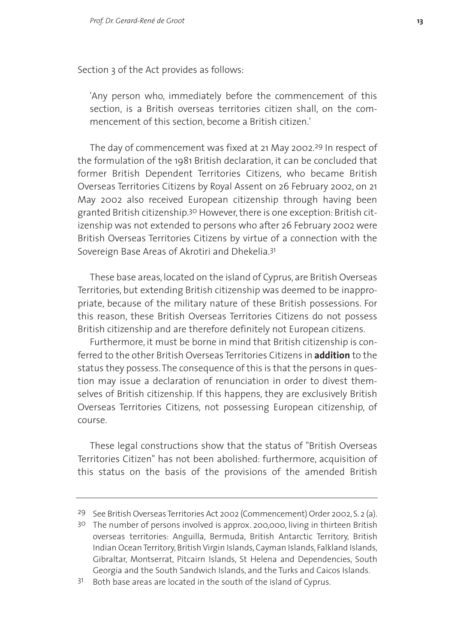Section 3 of the Act provides as follows:

'Any person who, immediately before the commencement of this section, is a British overseas territories citizen shall, on the commencement of this section, become a British citizen.'

The day of commencement was fixed at 21 May 2002.29 In respect of the formulation of the 1981 British declaration, it can be concluded that former British Dependent Territories Citizens, who became British Overseas Territories Citizens by Royal Assent on 26 February 2002, on 21 May 2002 also received European citizenship through having been granted British citizenship.30 However, there is one exception: British citizenship was not extended to persons who after 26 February 2002 were British Overseas Territories Citizens by virtue of a connection with the Sovereign Base Areas of Akrotiri and Dhekelia.31

These base areas, located on the island of Cyprus, are British Overseas Territories, but extending British citizenship was deemed to be inappropriate, because of the military nature of these British possessions. For this reason, these British Overseas Territories Citizens do not possess British citizenship and are therefore definitely not European citizens.

Furthermore, it must be borne in mind that British citizenship is conferred to the other British Overseas Territories Citizens in **addition** to the status they possess. The consequence of this is that the persons in question may issue a declaration of renunciation in order to divest themselves of British citizenship. If this happens, they are exclusively British Overseas Territories Citizens, not possessing European citizenship, of course.

These legal constructions show that the status of "British Overseas Territories Citizen" has not been abolished: furthermore, acquisition of this status on the basis of the provisions of the amended British

<sup>29</sup> See British Overseas Territories Act 2002 (Commencement) Order 2002, S. 2 (a).

<sup>30</sup> The number of persons involved is approx. 200,000, living in thirteen British overseas territories: Anguilla, Bermuda, British Antarctic Territory, British Indian Ocean Territory, British Virgin Islands, Cayman Islands, Falkland Islands, Gibraltar, Montserrat, Pitcairn Islands, St Helena and Dependencies, South Georgia and the South Sandwich Islands, and the Turks and Caicos Islands.

 $31$  Both base areas are located in the south of the island of Cyprus.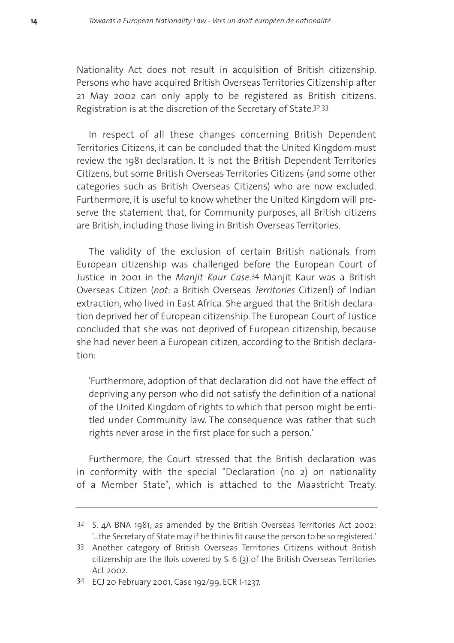Nationality Act does not result in acquisition of British citizenship. Persons who have acquired British Overseas Territories Citizenship after 21 May 2002 can only apply to be registered as British citizens. Registration is at the discretion of the Secretary of State.<sup>32</sup>.33

In respect of all these changes concerning British Dependent Territories Citizens, it can be concluded that the United Kingdom must review the 1981 declaration. It is not the British Dependent Territories Citizens, but some British Overseas Territories Citizens (and some other categories such as British Overseas Citizens) who are now excluded. Furthermore, it is useful to know whether the United Kingdom will preserve the statement that, for Community purposes, all British citizens are British, including those living in British Overseas Territories.

The validity of the exclusion of certain British nationals from European citizenship was challenged before the European Court of Justice in 2001 in the *Manjit Kaur Case*. 34 Manjit Kaur was a British Overseas Citizen (*not*: a British Overseas *Territories* Citizen!) of Indian extraction, who lived in East Africa. She argued that the British declaration deprived her of European citizenship. The European Court of Justice concluded that she was not deprived of European citizenship, because she had never been a European citizen, according to the British declaration:

'Furthermore, adoption of that declaration did not have the effect of depriving any person who did not satisfy the definition of a national of the United Kingdom of rights to which that person might be entitled under Community law. The consequence was rather that such rights never arose in the first place for such a person.'

Furthermore, the Court stressed that the British declaration was in conformity with the special "Declaration (no 2) on nationality of a Member State", which is attached to the Maastricht Treaty.

<sup>32</sup> S. 4A BNA 1981, as amended by the British Overseas Territories Act 2002: '...the Secretary of State may if he thinks fit cause the person to be so registered.'

<sup>33</sup> Another category of British Overseas Territories Citizens without British citizenship are the Ilois covered by S. 6 (3) of the British Overseas Territories Act 2002.

<sup>34</sup> ECJ 20 February 2001, Case 192/99, ECR I-1237.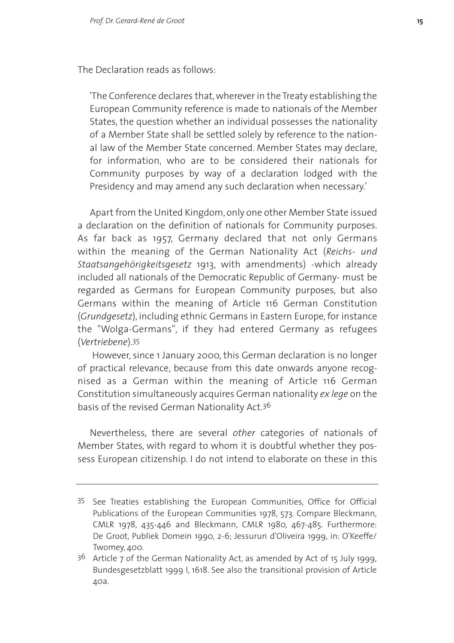The Declaration reads as follows:

'The Conference declares that, wherever in the Treaty establishing the European Community reference is made to nationals of the Member States, the question whether an individual possesses the nationality of a Member State shall be settled solely by reference to the national law of the Member State concerned. Member States may declare, for information, who are to be considered their nationals for Community purposes by way of a declaration lodged with the Presidency and may amend any such declaration when necessary.'

Apart from the United Kingdom, only one other Member State issued a declaration on the definition of nationals for Community purposes. As far back as 1957, Germany declared that not only Germans within the meaning of the German Nationality Act (*Reichs- und Staatsangehörigkeitsgesetz* 1913, with amendments) -which already included all nationals of the Democratic Republic of Germany- must be regarded as Germans for European Community purposes, but also Germans within the meaning of Article 116 German Constitution (*Grundgesetz*), including ethnic Germans in Eastern Europe, for instance the "Wolga-Germans", if they had entered Germany as refugees (*Vertriebene*).35

However, since 1 January 2000, this German declaration is no longer of practical relevance, because from this date onwards anyone recognised as a German within the meaning of Article 116 German Constitution simultaneously acquires German nationality *ex lege* on the basis of the revised German Nationality Act.36

Nevertheless, there are several *other* categories of nationals of Member States, with regard to whom it is doubtful whether they possess European citizenship. I do not intend to elaborate on these in this

<sup>35</sup> See Treaties establishing the European Communities, Office for Official Publications of the European Communities 1978, 573. Compare Bleckmann, CMLR 1978, 435-446 and Bleckmann, CMLR 1980, 467-485. Furthermore: De Groot, Publiek Domein 1990, 2-6; Jessurun d'Oliveira 1999, in: O'Keeffe/ Twomey, 400.

<sup>36</sup> Article 7 of the German Nationality Act, as amended by Act of 15 July 1999, Bundesgesetzblatt 1999 I, 1618. See also the transitional provision of Article 40a.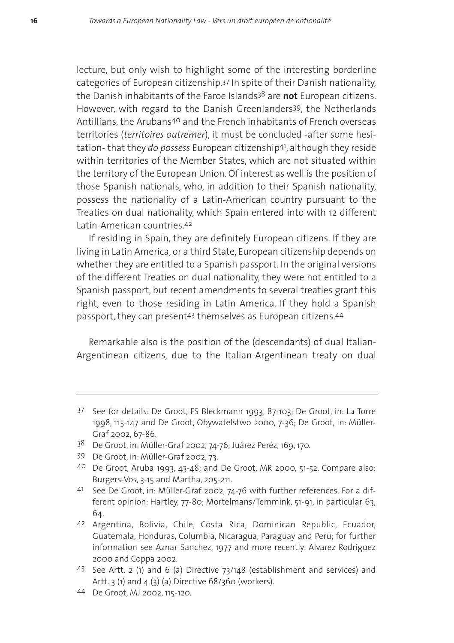lecture, but only wish to highlight some of the interesting borderline categories of European citizenship.37 In spite of their Danish nationality, the Danish inhabitants of the Faroe Islands38 are **not** European citizens. However, with regard to the Danish Greenlanders39, the Netherlands Antillians, the Arubans40 and the French inhabitants of French overseas territories (*territoires outremer*), it must be concluded -after some hesitation- that they *do possess* European citizenship41, although they reside within territories of the Member States, which are not situated within the territory of the European Union. Of interest as well is the position of those Spanish nationals, who, in addition to their Spanish nationality, possess the nationality of a Latin-American country pursuant to the Treaties on dual nationality, which Spain entered into with 12 different Latin-American countries.42

If residing in Spain, they are definitely European citizens. If they are living in Latin America, or a third State, European citizenship depends on whether they are entitled to a Spanish passport. In the original versions of the different Treaties on dual nationality, they were not entitled to a Spanish passport, but recent amendments to several treaties grant this right, even to those residing in Latin America. If they hold a Spanish passport, they can present43 themselves as European citizens.44

Remarkable also is the position of the (descendants) of dual Italian-Argentinean citizens, due to the Italian-Argentinean treaty on dual

- 38 De Groot, in: Müller-Graf 2002, 74-76; Juárez Peréz, 169, 170.
- 39 De Groot, in: Müller-Graf 2002, 73.
- 40 De Groot, Aruba 1993, 43-48; and De Groot, MR 2000, 51-52. Compare also: Burgers-Vos, 3-15 and Martha, 205-211.
- 41 See De Groot, in: Müller-Graf 2002, 74-76 with further references. For a different opinion: Hartley, 77-80; Mortelmans/Temmink, 51-91, in particular 63, 64.
- 42 Argentina, Bolivia, Chile, Costa Rica, Dominican Republic, Ecuador, Guatemala, Honduras, Columbia, Nicaragua, Paraguay and Peru; for further information see Aznar Sanchez, 1977 and more recently: Alvarez Rodriguez 2000 and Coppa 2002.
- 43 See Artt. 2 (1) and 6 (a) Directive 73/148 (establishment and services) and Artt.  $3$  (1) and  $4$  ( $3$ ) (a) Directive 68/ $360$  (workers).
- 44 De Groot, MJ 2002, 115-120.

<sup>37</sup> See for details: De Groot, FS Bleckmann 1993, 87-103; De Groot, in: La Torre 1998, 115-147 and De Groot, Obywatelstwo 2000, 7-36; De Groot, in: Müller-Graf 2002, 67-86.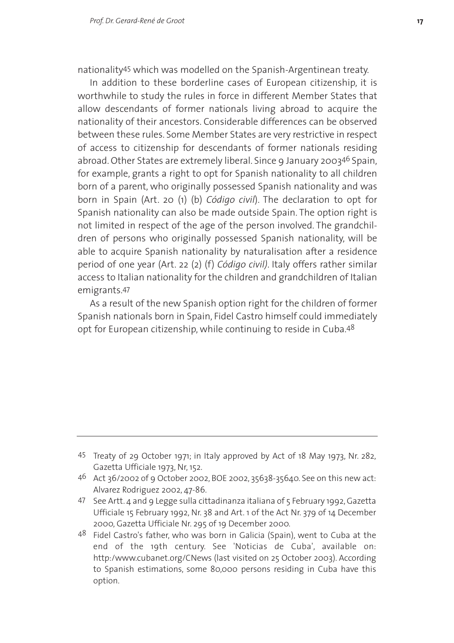nationality45 which was modelled on the Spanish-Argentinean treaty.

In addition to these borderline cases of European citizenship, it is worthwhile to study the rules in force in different Member States that allow descendants of former nationals living abroad to acquire the nationality of their ancestors. Considerable differences can be observed between these rules. Some Member States are very restrictive in respect of access to citizenship for descendants of former nationals residing abroad. Other States are extremely liberal. Since 9 January 200346 Spain, for example, grants a right to opt for Spanish nationality to all children born of a parent, who originally possessed Spanish nationality and was born in Spain (Art. 20 (1) (b) *Código civil*). The declaration to opt for Spanish nationality can also be made outside Spain. The option right is not limited in respect of the age of the person involved. The grandchildren of persons who originally possessed Spanish nationality, will be able to acquire Spanish nationality by naturalisation after a residence period of one year (Art. 22 (2) (f) *Código civil)*. Italy offers rather similar access to Italian nationality for the children and grandchildren of Italian emigrants.47

As a result of the new Spanish option right for the children of former Spanish nationals born in Spain, Fidel Castro himself could immediately opt for European citizenship, while continuing to reside in Cuba.48

47 See Artt. 4 and 9 Legge sulla cittadinanza italiana of 5 February 1992, Gazetta Ufficiale 15 February 1992, Nr. 38 and Art. 1 of the Act Nr. 379 of 14 December 2000, Gazetta Ufficiale Nr. 295 of 19 December 2000.

<sup>45</sup> Treaty of 29 October 1971; in Italy approved by Act of 18 May 1973, Nr. 282, Gazetta Ufficiale 1973, Nr, 152.

<sup>46</sup> Act 36/2002 of 9 October 2002, BOE 2002, 35638-35640. See on this new act: Alvarez Rodriguez 2002, 47-86.

<sup>48</sup> Fidel Castro's father, who was born in Galicia (Spain), went to Cuba at the end of the 19th century. See 'Noticias de Cuba', available on: http:/www.cubanet.org/CNews (last visited on 25 October 2003). According to Spanish estimations, some 80,000 persons residing in Cuba have this option.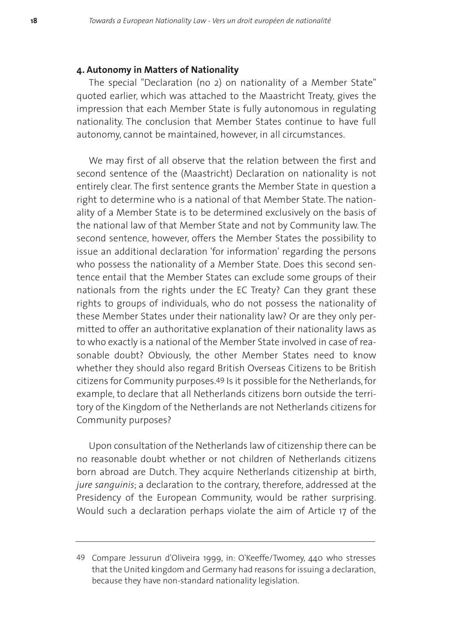# **4. Autonomy in Matters of Nationality**

The special "Declaration (no 2) on nationality of a Member State" quoted earlier, which was attached to the Maastricht Treaty, gives the impression that each Member State is fully autonomous in regulating nationality. The conclusion that Member States continue to have full autonomy, cannot be maintained, however, in all circumstances.

We may first of all observe that the relation between the first and second sentence of the (Maastricht) Declaration on nationality is not entirely clear. The first sentence grants the Member State in question a right to determine who is a national of that Member State. The nationality of a Member State is to be determined exclusively on the basis of the national law of that Member State and not by Community law. The second sentence, however, offers the Member States the possibility to issue an additional declaration 'for information' regarding the persons who possess the nationality of a Member State. Does this second sentence entail that the Member States can exclude some groups of their nationals from the rights under the EC Treaty? Can they grant these rights to groups of individuals, who do not possess the nationality of these Member States under their nationality law? Or are they only permitted to offer an authoritative explanation of their nationality laws as to who exactly is a national of the Member State involved in case of reasonable doubt? Obviously, the other Member States need to know whether they should also regard British Overseas Citizens to be British citizens for Community purposes.49 Is it possible for the Netherlands, for example, to declare that all Netherlands citizens born outside the territory of the Kingdom of the Netherlands are not Netherlands citizens for Community purposes?

Upon consultation of the Netherlands law of citizenship there can be no reasonable doubt whether or not children of Netherlands citizens born abroad are Dutch. They acquire Netherlands citizenship at birth, *jure sanguinis*; a declaration to the contrary, therefore, addressed at the Presidency of the European Community, would be rather surprising. Would such a declaration perhaps violate the aim of Article 17 of the

<sup>49</sup> Compare Jessurun d'Oliveira 1999, in: O'Keeffe/Twomey, 440 who stresses that the United kingdom and Germany had reasons for issuing a declaration, because they have non-standard nationality legislation.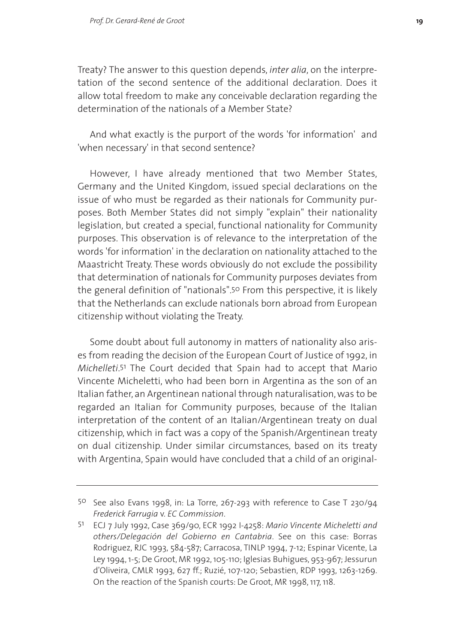Treaty? The answer to this question depends, *inter alia*, on the interpretation of the second sentence of the additional declaration. Does it allow total freedom to make any conceivable declaration regarding the determination of the nationals of a Member State?

And what exactly is the purport of the words 'for information' and 'when necessary' in that second sentence?

However, I have already mentioned that two Member States, Germany and the United Kingdom, issued special declarations on the issue of who must be regarded as their nationals for Community purposes. Both Member States did not simply "explain" their nationality legislation, but created a special, functional nationality for Community purposes. This observation is of relevance to the interpretation of the words 'for information' in the declaration on nationality attached to the Maastricht Treaty. These words obviously do not exclude the possibility that determination of nationals for Community purposes deviates from the general definition of "nationals".50 From this perspective, it is likely that the Netherlands can exclude nationals born abroad from European citizenship without violating the Treaty.

Some doubt about full autonomy in matters of nationality also arises from reading the decision of the European Court of Justice of 1992, in *Michelleti*. 51 The Court decided that Spain had to accept that Mario Vincente Micheletti, who had been born in Argentina as the son of an Italian father, an Argentinean national through naturalisation, was to be regarded an Italian for Community purposes, because of the Italian interpretation of the content of an Italian/Argentinean treaty on dual citizenship, which in fact was a copy of the Spanish/Argentinean treaty on dual citizenship. Under similar circumstances, based on its treaty with Argentina, Spain would have concluded that a child of an original-

<sup>50</sup> See also Evans 1998, in: La Torre, 267-293 with reference to Case T 230/94 *Frederick Farrugia* v. *EC Commission*.

<sup>51</sup> ECJ 7 July 1992, Case 369/90, ECR 1992 I-4258: *Mario Vincente Micheletti and others/Delegación del Gobierno en Cantabria*. See on this case: Borras Rodriguez, RJC 1993, 584-587; Carracosa, TINLP 1994, 7-12; Espinar Vicente, La Ley 1994, 1-5; De Groot, MR 1992, 105-110; Iglesias Buhigues, 953-967; Jessurun d'Oliveira, CMLR 1993, 627 ff.; Ruzié, 107-120; Sebastien, RDP 1993, 1263-1269. On the reaction of the Spanish courts: De Groot, MR 1998, 117, 118.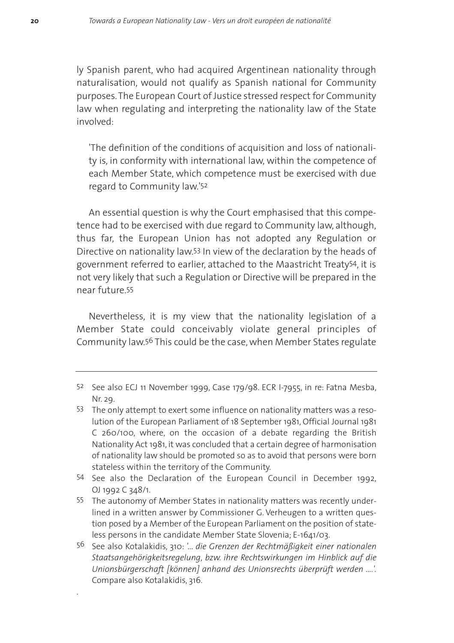ly Spanish parent, who had acquired Argentinean nationality through naturalisation, would not qualify as Spanish national for Community purposes.The European Court of Justice stressed respect for Community law when regulating and interpreting the nationality law of the State involved:

'The definition of the conditions of acquisition and loss of nationality is, in conformity with international law, within the competence of each Member State, which competence must be exercised with due regard to Community law.'52

An essential question is why the Court emphasised that this competence had to be exercised with due regard to Community law, although, thus far, the European Union has not adopted any Regulation or Directive on nationality law.53 In view of the declaration by the heads of government referred to earlier, attached to the Maastricht Treaty54, it is not very likely that such a Regulation or Directive will be prepared in the near future.55

Nevertheless, it is my view that the nationality legislation of a Member State could conceivably violate general principles of Community law.56 This could be the case, when Member States regulate

.

<sup>52</sup> See also ECJ 11 November 1999, Case 179/98. ECR I-7955, in re: Fatna Mesba, Nr. 29.

<sup>53</sup> The only attempt to exert some influence on nationality matters was a resolution of the European Parliament of 18 September 1981, Official Journal 1981 C 260/100, where, on the occasion of a debate regarding the British Nationality Act 1981, it was concluded that a certain degree of harmonisation of nationality law should be promoted so as to avoid that persons were born stateless within the territory of the Community.

<sup>54</sup> See also the Declaration of the European Council in December 1992, OJ 1992 C 348/1.

<sup>55</sup> The autonomy of Member States in nationality matters was recently underlined in a written answer by Commissioner G. Verheugen to a written question posed by a Member of the European Parliament on the position of stateless persons in the candidate Member State Slovenia; E-1641/03.

<sup>56</sup> See also Kotalakidis, 310: *'... die Grenzen der Rechtmäßigkeit einer nationalen Staatsangehörigkeitsregelung, bzw. ihre Rechtswirkungen im Hinblick auf die Unionsbürgerschaft [können] anhand des Unionsrechts überprüft werden ....'.* Compare also Kotalakidis, 316.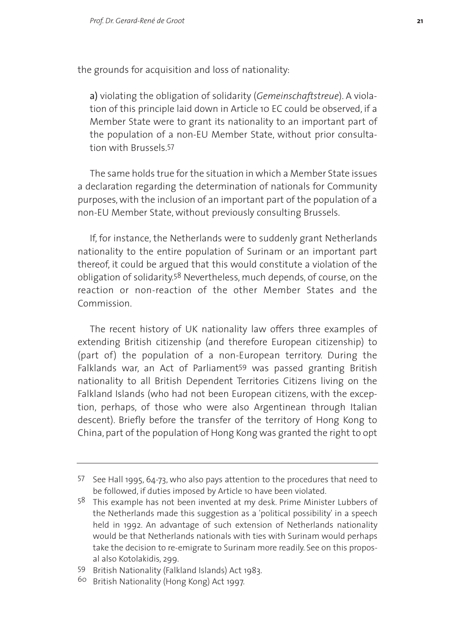the grounds for acquisition and loss of nationality:

a) violating the obligation of solidarity (*Gemeinschaftstreue*). A violation of this principle laid down in Article 10 EC could be observed, if a Member State were to grant its nationality to an important part of the population of a non-EU Member State, without prior consultation with Brussels.57

The same holds true for the situation in which a Member State issues a declaration regarding the determination of nationals for Community purposes, with the inclusion of an important part of the population of a non-EU Member State, without previously consulting Brussels.

If, for instance, the Netherlands were to suddenly grant Netherlands nationality to the entire population of Surinam or an important part thereof, it could be argued that this would constitute a violation of the obligation of solidarity.58 Nevertheless, much depends, of course, on the reaction or non-reaction of the other Member States and the Commission.

The recent history of UK nationality law offers three examples of extending British citizenship (and therefore European citizenship) to (part of) the population of a non-European territory. During the Falklands war, an Act of Parliament59 was passed granting British nationality to all British Dependent Territories Citizens living on the Falkland Islands (who had not been European citizens, with the exception, perhaps, of those who were also Argentinean through Italian descent). Briefly before the transfer of the territory of Hong Kong to China, part of the population of Hong Kong was granted the right to opt

<sup>57</sup> See Hall 1995, 64-73, who also pays attention to the procedures that need to be followed, if duties imposed by Article 10 have been violated.

<sup>58</sup> This example has not been invented at my desk. Prime Minister Lubbers of the Netherlands made this suggestion as a 'political possibility' in a speech held in 1992. An advantage of such extension of Netherlands nationality would be that Netherlands nationals with ties with Surinam would perhaps take the decision to re-emigrate to Surinam more readily. See on this proposal also Kotolakidis, 299.

<sup>59</sup> British Nationality (Falkland Islands) Act 1983.

<sup>60</sup> British Nationality (Hong Kong) Act 1997.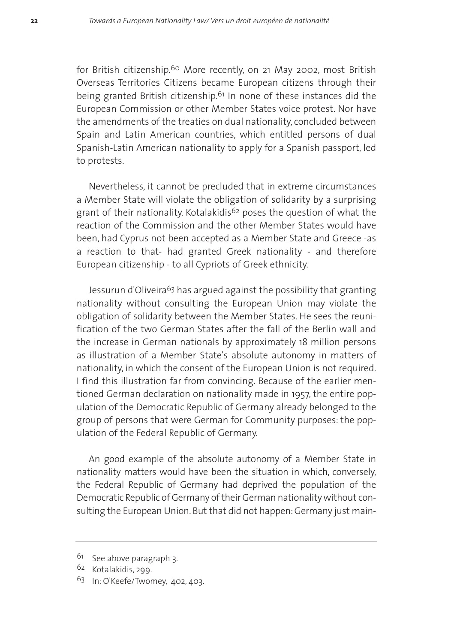for British citizenship.60 More recently, on 21 May 2002, most British Overseas Territories Citizens became European citizens through their being granted British citizenship.61 In none of these instances did the European Commission or other Member States voice protest. Nor have the amendments of the treaties on dual nationality, concluded between Spain and Latin American countries, which entitled persons of dual Spanish-Latin American nationality to apply for a Spanish passport, led to protests.

Nevertheless, it cannot be precluded that in extreme circumstances a Member State will violate the obligation of solidarity by a surprising grant of their nationality. Kotalakidis<sup>62</sup> poses the question of what the reaction of the Commission and the other Member States would have been, had Cyprus not been accepted as a Member State and Greece -as a reaction to that- had granted Greek nationality - and therefore European citizenship - to all Cypriots of Greek ethnicity.

Jessurun d'Oliveira<sup>63</sup> has argued against the possibility that granting nationality without consulting the European Union may violate the obligation of solidarity between the Member States. He sees the reunification of the two German States after the fall of the Berlin wall and the increase in German nationals by approximately 18 million persons as illustration of a Member State's absolute autonomy in matters of nationality, in which the consent of the European Union is not required. I find this illustration far from convincing. Because of the earlier mentioned German declaration on nationality made in 1957, the entire population of the Democratic Republic of Germany already belonged to the group of persons that were German for Community purposes: the population of the Federal Republic of Germany.

An good example of the absolute autonomy of a Member State in nationality matters would have been the situation in which, conversely, the Federal Republic of Germany had deprived the population of the Democratic Republic of Germany of their German nationality without consulting the European Union. But that did not happen: Germany just main-

<sup>&</sup>lt;sup>61</sup> See above paragraph 3.

<sup>62</sup> Kotalakidis, 299.

<sup>63</sup> In: O'Keefe/Twomey, 402, 403.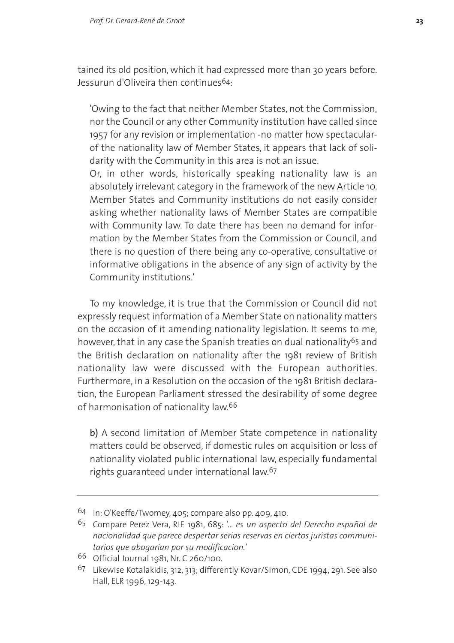tained its old position, which it had expressed more than 30 years before. Jessurun d'Oliveira then continues64:

'Owing to the fact that neither Member States, not the Commission, nor the Council or any other Community institution have called since 1957 for any revision or implementation -no matter how spectacularof the nationality law of Member States, it appears that lack of solidarity with the Community in this area is not an issue.

Or, in other words, historically speaking nationality law is an absolutely irrelevant category in the framework of the new Article 10. Member States and Community institutions do not easily consider asking whether nationality laws of Member States are compatible with Community law. To date there has been no demand for information by the Member States from the Commission or Council, and there is no question of there being any co-operative, consultative or informative obligations in the absence of any sign of activity by the Community institutions.'

To my knowledge, it is true that the Commission or Council did not expressly request information of a Member State on nationality matters on the occasion of it amending nationality legislation. It seems to me, however, that in any case the Spanish treaties on dual nationality<sup>65</sup> and the British declaration on nationality after the 1981 review of British nationality law were discussed with the European authorities. Furthermore, in a Resolution on the occasion of the 1981 British declaration, the European Parliament stressed the desirability of some degree of harmonisation of nationality law.66

b) A second limitation of Member State competence in nationality matters could be observed, if domestic rules on acquisition or loss of nationality violated public international law, especially fundamental rights guaranteed under international law.67

<sup>64</sup> In: O'Keeffe/Twomey, 405; compare also pp. 409, 410.

<sup>65</sup> Compare Perez Vera, RIE 1981, 685: *'... es un aspecto del Derecho español de nacionalidad que parece despertar serias reservas en ciertos juristas communitarios que abogarian por su modificacion.'*

<sup>66</sup> Official Journal 1981, Nr. C 260/100.

<sup>67</sup> Likewise Kotalakidis, 312, 313; differently Kovar/Simon, CDE 1994, 291. See also Hall, ELR 1996, 129-143.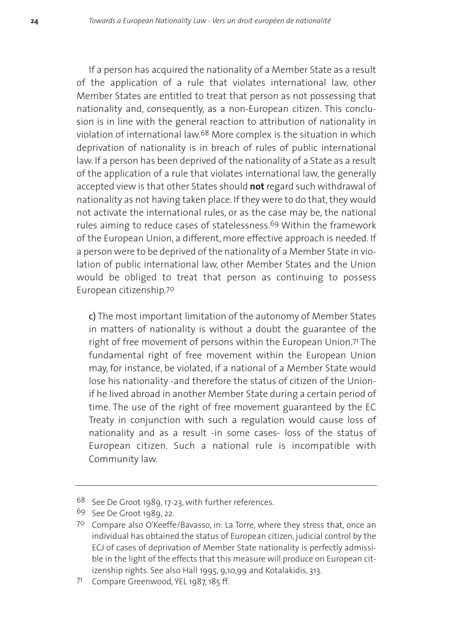If a person has acquired the nationality of a Member State as a result of the application of a rule that violates international law, other Member States are entitled to treat that person as not possessing that nationality and, consequently, as a non-European citizen. This conclusion is in line with the general reaction to attribution of nationality in violation of international law.68 More complex is the situation in which deprivation of nationality is in breach of rules of public international law. If a person has been deprived of the nationality of a State as a result of the application of a rule that violates international law, the generally accepted view is that other States should **not** regard such withdrawal of nationality as not having taken place. If they were to do that, they would not activate the international rules, or as the case may be, the national rules aiming to reduce cases of statelessness.69 Within the framework of the European Union, a different, more effective approach is needed. If a person were to be deprived of the nationality of a Member State in violation of public international law, other Member States and the Union would be obliged to treat that person as continuing to possess European citizenship.70

c) The most important limitation of the autonomy of Member States in matters of nationality is without a doubt the guarantee of the right of free movement of persons within the European Union.<sup>71</sup> The fundamental right of free movement within the European Union may, for instance, be violated, if a national of a Member State would lose his nationality -and therefore the status of citizen of the Unionif he lived abroad in another Member State during a certain period of time. The use of the right of free movement guaranteed by the EC Treaty in conjunction with such a regulation would cause loss of nationality and as a result -in some cases- loss of the status of European citizen. Such a national rule is incompatible with Community law.

<sup>68</sup> See De Groot 1989, 17-23, with further references.

<sup>69</sup> See De Groot 1989, 22.

<sup>70</sup> Compare also O'Keeffe/Bavasso, in: La Torre, where they stress that, once an individual has obtained the status of European citizen, judicial control by the ECJ of cases of deprivation of Member State nationality is perfectly admissible in the light of the effects that this measure will produce on European citizenship rights. See also Hall 1995, 9,10,99 and Kotalakidis, 313.

<sup>71</sup> Compare Greenwood, YEL 1987, 185 ff.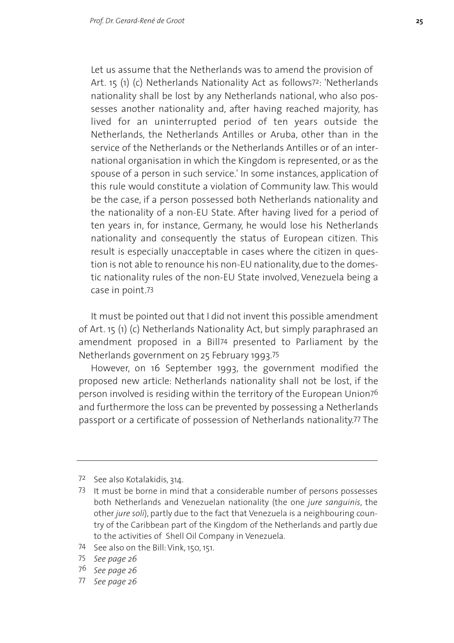Let us assume that the Netherlands was to amend the provision of Art. 15 (1) (c) Netherlands Nationality Act as follows<sup>72</sup>: 'Netherlands nationality shall be lost by any Netherlands national, who also possesses another nationality and, after having reached majority, has lived for an uninterrupted period of ten years outside the Netherlands, the Netherlands Antilles or Aruba, other than in the service of the Netherlands or the Netherlands Antilles or of an international organisation in which the Kingdom is represented, or as the spouse of a person in such service.' In some instances, application of this rule would constitute a violation of Community law. This would be the case, if a person possessed both Netherlands nationality and the nationality of a non-EU State. After having lived for a period of ten years in, for instance, Germany, he would lose his Netherlands nationality and consequently the status of European citizen. This result is especially unacceptable in cases where the citizen in question is not able to renounce his non-EU nationality, due to the domestic nationality rules of the non-EU State involved, Venezuela being a case in point.73

It must be pointed out that I did not invent this possible amendment of Art. 15 (1) (c) Netherlands Nationality Act, but simply paraphrased an amendment proposed in a Bill74 presented to Parliament by the Netherlands government on 25 February 1993.75

However, on 16 September 1993, the government modified the proposed new article: Netherlands nationality shall not be lost, if the person involved is residing within the territory of the European Union76 and furthermore the loss can be prevented by possessing a Netherlands passport or a certificate of possession of Netherlands nationality.77 The

74 See also on the Bill: Vink, 150, 151.

77 *See page 26*

<sup>72</sup> See also Kotalakidis, 314.

<sup>73</sup> It must be borne in mind that a considerable number of persons possesses both Netherlands and Venezuelan nationality (the one *jure sanguinis*, the other *jure soli*), partly due to the fact that Venezuela is a neighbouring country of the Caribbean part of the Kingdom of the Netherlands and partly due to the activities of Shell Oil Company in Venezuela.

<sup>75</sup> *See page 26*

<sup>76</sup> *See page 26*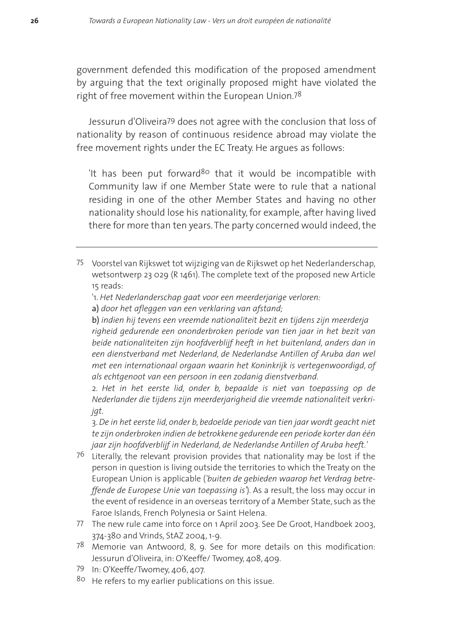government defended this modification of the proposed amendment by arguing that the text originally proposed might have violated the right of free movement within the European Union.78

Jessurun d'Oliveira79 does not agree with the conclusion that loss of nationality by reason of continuous residence abroad may violate the free movement rights under the EC Treaty. He argues as follows:

It has been put forward<sup>80</sup> that it would be incompatible with Community law if one Member State were to rule that a national residing in one of the other Member States and having no other nationality should lose his nationality, for example, after having lived there for more than ten years. The party concerned would indeed, the

- 75 Voorstel van Rijkswet tot wijziging van de Rijkswet op het Nederlanderschap, wetsontwerp 23 029 (R 1461). The complete text of the proposed new Article 15 reads:
	- '1. *Het Nederlanderschap gaat voor een meerderjarige verloren:*
	- a) *door het afleggen van een verklaring van afstand;*

b) *indien hij tevens een vreemde nationaliteit bezit en tijdens zijn meerderja righeid gedurende een ononderbroken periode van tien jaar in het bezit van beide nationaliteiten zijn hoofdverblijf heeft in het buitenland, anders dan in een dienstverband met Nederland, de Nederlandse Antillen of Aruba dan wel met een internationaal orgaan waarin het Koninkrijk is vertegenwoordigd, of als echtgenoot van een persoon in een zodanig dienstverband.*

2. *Het in het eerste lid, onder b, bepaalde is niet van toepassing op de Nederlander die tijdens zijn meerderjarigheid die vreemde nationaliteit verkrijgt.*

3.*De in het eerste lid, onder b, bedoelde periode van tien jaar wordt geacht niet te zijn onderbroken indien de betrokkene gedurende een periode korter dan één jaar zijn hoofdverblijf in Nederland, de Nederlandse Antillen of Aruba heeft.'*

- 76 Literally, the relevant provision provides that nationality may be lost if the person in question is living outside the territories to which the Treaty on the European Union is applicable (*'buiten de gebieden waarop het Verdrag betreffende de Europese Unie van toepassing is'*). As a result, the loss may occur in the event of residence in an overseas territory of a Member State, such as the Faroe Islands, French Polynesia or Saint Helena.
- 77 The new rule came into force on 1 April 2003. See De Groot, Handboek 2003, 374-380 and Vrinds, StAZ 2004, 1-9.
- 78 Memorie van Antwoord, 8, 9. See for more details on this modification: Jessurun d'Oliveira, in: O'Keeffe/ Twomey, 408, 409.
- 79 In: O'Keeffe/Twomey, 406, 407.
- 80 He refers to my earlier publications on this issue.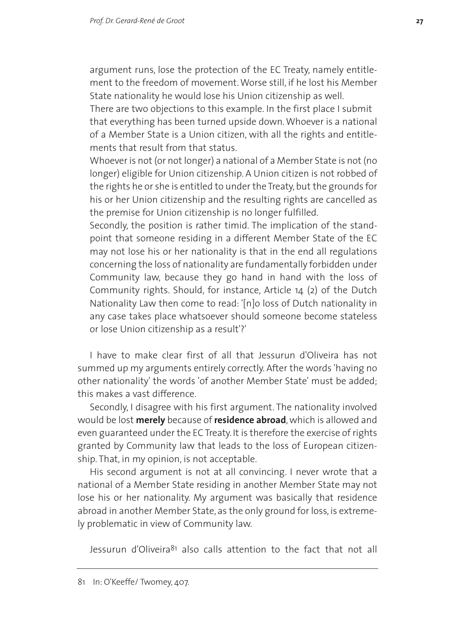argument runs, lose the protection of the EC Treaty, namely entitlement to the freedom of movement. Worse still, if he lost his Member State nationality he would lose his Union citizenship as well.

There are two objections to this example. In the first place I submit that everything has been turned upside down. Whoever is a national of a Member State is a Union citizen, with all the rights and entitlements that result from that status.

Whoever is not (or not longer) a national of a Member State is not (no longer) eligible for Union citizenship. A Union citizen is not robbed of the rights he or she is entitled to under the Treaty, but the grounds for his or her Union citizenship and the resulting rights are cancelled as the premise for Union citizenship is no longer fulfilled.

Secondly, the position is rather timid. The implication of the standpoint that someone residing in a different Member State of the EC may not lose his or her nationality is that in the end all regulations concerning the loss of nationality are fundamentally forbidden under Community law, because they go hand in hand with the loss of Community rights. Should, for instance, Article 14 (2) of the Dutch Nationality Law then come to read: '[n]o loss of Dutch nationality in any case takes place whatsoever should someone become stateless or lose Union citizenship as a result'?'

I have to make clear first of all that Jessurun d'Oliveira has not summed up my arguments entirely correctly. After the words 'having no other nationality' the words 'of another Member State' must be added; this makes a vast difference.

Secondly, I disagree with his first argument. The nationality involved would be lost **merely** because of **residence abroad**,which is allowed and even guaranteed under the EC Treaty. It is therefore the exercise of rights granted by Community law that leads to the loss of European citizenship. That, in my opinion, is not acceptable.

His second argument is not at all convincing. I never wrote that a national of a Member State residing in another Member State may not lose his or her nationality. My argument was basically that residence abroad in another Member State, as the only ground for loss, is extremely problematic in view of Community law.

Jessurun d'Oliveira<sup>81</sup> also calls attention to the fact that not all

<sup>81</sup> In: O'Keeffe/ Twomey, 407.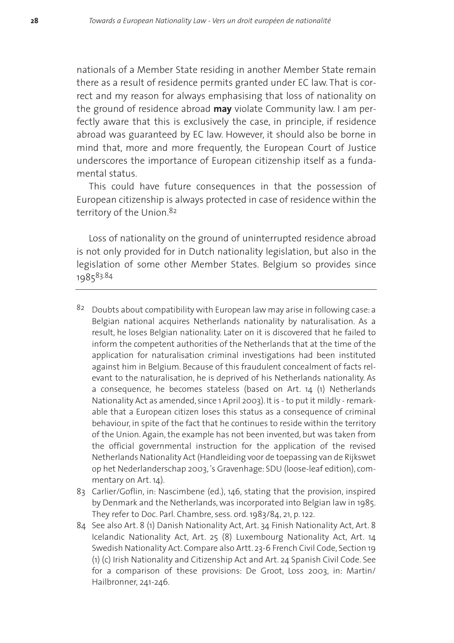nationals of a Member State residing in another Member State remain there as a result of residence permits granted under EC law. That is correct and my reason for always emphasising that loss of nationality on the ground of residence abroad **may** violate Community law. I am perfectly aware that this is exclusively the case, in principle, if residence abroad was guaranteed by EC law. However, it should also be borne in mind that, more and more frequently, the European Court of Justice underscores the importance of European citizenship itself as a fundamental status.

This could have future consequences in that the possession of European citizenship is always protected in case of residence within the territory of the Union.<sup>82</sup>

Loss of nationality on the ground of uninterrupted residence abroad is not only provided for in Dutch nationality legislation, but also in the legislation of some other Member States. Belgium so provides since 198583.84

- $82$  Doubts about compatibility with European law may arise in following case: a Belgian national acquires Netherlands nationality by naturalisation. As a result, he loses Belgian nationality. Later on it is discovered that he failed to inform the competent authorities of the Netherlands that at the time of the application for naturalisation criminal investigations had been instituted against him in Belgium. Because of this fraudulent concealment of facts relevant to the naturalisation, he is deprived of his Netherlands nationality. As a consequence, he becomes stateless (based on Art. 14 (1) Netherlands Nationality Act as amended, since 1 April 2003). It is - to put it mildly - remarkable that a European citizen loses this status as a consequence of criminal behaviour, in spite of the fact that he continues to reside within the territory of the Union. Again, the example has not been invented, but was taken from the official governmental instruction for the application of the revised Netherlands Nationality Act (Handleiding voor de toepassing van de Rijkswet op het Nederlanderschap 2003, 's Gravenhage: SDU (loose-leaf edition), commentary on Art. 14).
- 83 Carlier/Goflin, in: Nascimbene (ed.), 146, stating that the provision, inspired by Denmark and the Netherlands, was incorporated into Belgian law in 1985. They refer to Doc. Parl. Chambre, sess. ord. 1983/84, 21, p. 122.
- 84 See also Art. 8 (1) Danish Nationality Act, Art. 34 Finish Nationality Act, Art. 8 Icelandic Nationality Act, Art. 25 (8) Luxembourg Nationality Act, Art. 14 Swedish Nationality Act. Compare also Artt. 23-6 French Civil Code, Section 19 (1) (c) Irish Nationality and Citizenship Act and Art. 24 Spanish Civil Code. See for a comparison of these provisions: De Groot, Loss 2003, in: Martin/ Hailbronner, 241-246.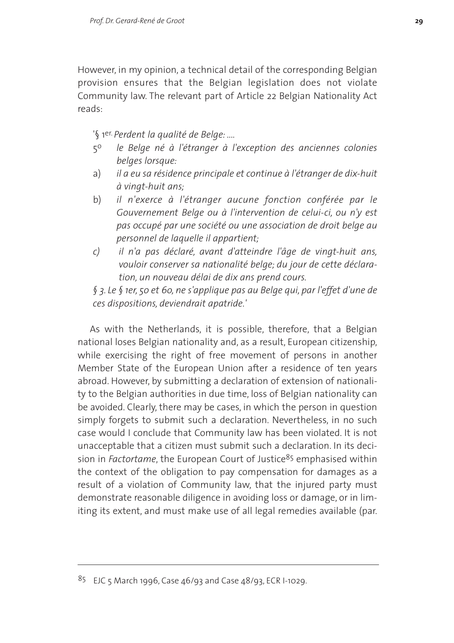However, in my opinion, a technical detail of the corresponding Belgian provision ensures that the Belgian legislation does not violate Community law. The relevant part of Article 22 Belgian Nationality Act reads:

'§ 1er. *Perdent la qualité de Belge: ....*

- 5o *le Belge né à l'étranger à l'exception des anciennes colonies belges lorsque:*
- a) *il a eu sa résidence principale et continue à l'étranger de dix-huit à vingt-huit ans;*
- b) *il n'exerce à l'étranger aucune fonction conférée par le Gouvernement Belge ou à l'intervention de celui-ci, ou n'y est pas occupé par une société ou une association de droit belge au personnel de laquelle il appartient;*
- *c) il n'a pas déclaré, avant d'atteindre l'âge de vingt-huit ans, vouloir conserver sa nationalité belge; du jour de cette déclaration, un nouveau délai de dix ans prend cours.*

*§ 3. Le § 1er, 5o et 6o, ne s'applique pas au Belge qui, par l'effet d'une de ces dispositions, deviendrait apatride.'*

As with the Netherlands, it is possible, therefore, that a Belgian national loses Belgian nationality and, as a result, European citizenship, while exercising the right of free movement of persons in another Member State of the European Union after a residence of ten years abroad. However, by submitting a declaration of extension of nationality to the Belgian authorities in due time, loss of Belgian nationality can be avoided. Clearly, there may be cases, in which the person in question simply forgets to submit such a declaration. Nevertheless, in no such case would I conclude that Community law has been violated. It is not unacceptable that a citizen must submit such a declaration. In its decision in *Factortame*, the European Court of Justice<sup>85</sup> emphasised within the context of the obligation to pay compensation for damages as a result of a violation of Community law, that the injured party must demonstrate reasonable diligence in avoiding loss or damage, or in limiting its extent, and must make use of all legal remedies available (par.

 $85$  EJC 5 March 1996, Case 46/93 and Case 48/93, ECR I-1029.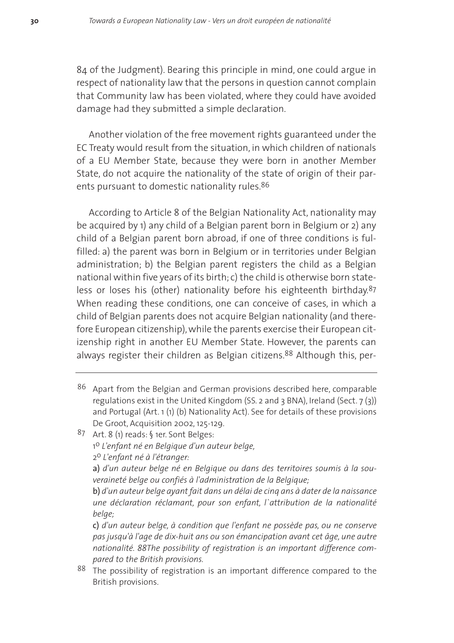84 of the Judgment). Bearing this principle in mind, one could argue in respect of nationality law that the persons in question cannot complain that Community law has been violated, where they could have avoided damage had they submitted a simple declaration.

Another violation of the free movement rights guaranteed under the EC Treaty would result from the situation, in which children of nationals of a EU Member State, because they were born in another Member State, do not acquire the nationality of the state of origin of their parents pursuant to domestic nationality rules.<sup>86</sup>

According to Article 8 of the Belgian Nationality Act, nationality may be acquired by 1) any child of a Belgian parent born in Belgium or 2) any child of a Belgian parent born abroad, if one of three conditions is fulfilled: a) the parent was born in Belgium or in territories under Belgian administration; b) the Belgian parent registers the child as a Belgian national within five years of its birth; c) the child is otherwise born stateless or loses his (other) nationality before his eighteenth birthday.87 When reading these conditions, one can conceive of cases, in which a child of Belgian parents does not acquire Belgian nationality (and therefore European citizenship), while the parents exercise their European citizenship right in another EU Member State. However, the parents can always register their children as Belgian citizens.<sup>88</sup> Although this, per-

- 86 Apart from the Belgian and German provisions described here, comparable regulations exist in the United Kingdom (SS. 2 and 3 BNA), Ireland (Sect. 7 (3)) and Portugal (Art. 1 (1) (b) Nationality Act). See for details of these provisions De Groot, Acquisition 2002, 125-129.
- 87 Art. 8 (1) reads: § 1er. Sont Belges: 1o *L'enfant né en Belgique d'un auteur belge,* 2o *L'enfant né à l'étranger:*

a) *d'un auteur belge né en Belgique ou dans des territoires soumis à la souveraineté belge ou confiés à l'administration de la Belgique;*

b) *d'un auteur belge ayant fait dans un délai de cinq ans à dater de la naissance une déclaration réclamant, pour son enfant, l`attribution de la nationalité belge;*

c) *d'un auteur belge, à condition que l'enfant ne possède pas, ou ne conserve pas jusqu'à l'age de dix-huit ans ou son émancipation avant cet âge, une autre nationalité. 88The possibility of registration is an important difference compared to the British provisions.*

 $88$  The possibility of registration is an important difference compared to the British provisions.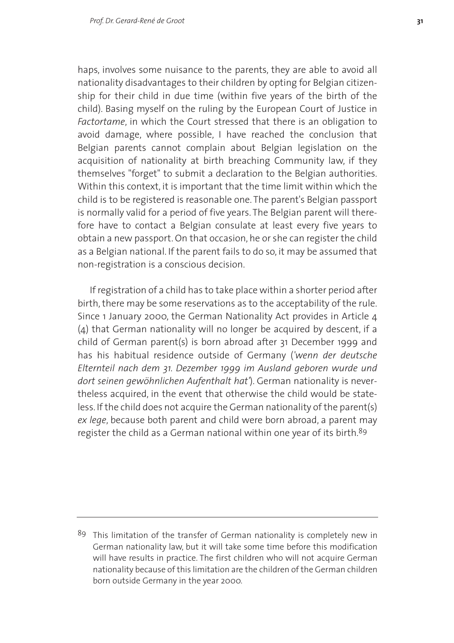haps, involves some nuisance to the parents, they are able to avoid all nationality disadvantages to their children by opting for Belgian citizenship for their child in due time (within five years of the birth of the child). Basing myself on the ruling by the European Court of Justice in *Factortame*, in which the Court stressed that there is an obligation to avoid damage, where possible, I have reached the conclusion that Belgian parents cannot complain about Belgian legislation on the acquisition of nationality at birth breaching Community law, if they themselves "forget" to submit a declaration to the Belgian authorities. Within this context, it is important that the time limit within which the child is to be registered is reasonable one. The parent's Belgian passport is normally valid for a period of five years. The Belgian parent will therefore have to contact a Belgian consulate at least every five years to obtain a new passport. On that occasion, he or she can register the child as a Belgian national. If the parent fails to do so, it may be assumed that non-registration is a conscious decision.

If registration of a child has to take place within a shorter period after birth, there may be some reservations as to the acceptability of the rule. Since 1 January 2000, the German Nationality Act provides in Article 4 (4) that German nationality will no longer be acquired by descent, if a child of German parent(s) is born abroad after 31 December 1999 and has his habitual residence outside of Germany (*'wenn der deutsche Elternteil nach dem 31. Dezember 1999 im Ausland geboren wurde und dort seinen gewöhnlichen Aufenthalt hat'*). German nationality is nevertheless acquired, in the event that otherwise the child would be stateless. If the child does not acquire the German nationality of the parent(s) *ex lege*, because both parent and child were born abroad, a parent may register the child as a German national within one year of its birth.<sup>89</sup>

<sup>89</sup> This limitation of the transfer of German nationality is completely new in German nationality law, but it will take some time before this modification will have results in practice. The first children who will not acquire German nationality because of this limitation are the children of the German children born outside Germany in the year 2000.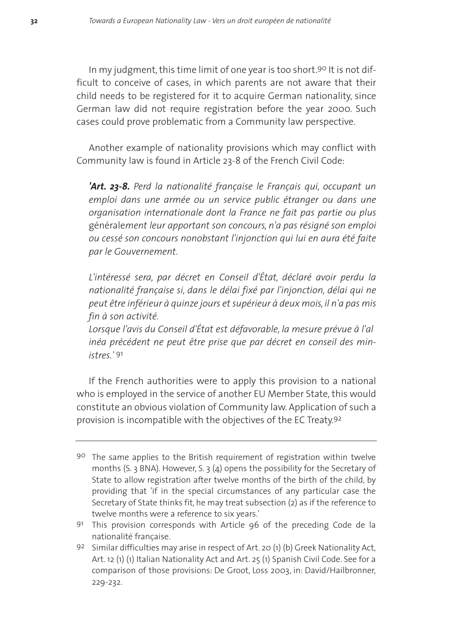In my judgment, this time limit of one year is too short.<sup>90</sup> It is not difficult to conceive of cases, in which parents are not aware that their child needs to be registered for it to acquire German nationality, since German law did not require registration before the year 2000. Such cases could prove problematic from a Community law perspective.

Another example of nationality provisions which may conflict with Community law is found in Article 23-8 of the French Civil Code:

*'Art. 23-8. Perd la nationalité française le Français qui, occupant un emploi dans une armée ou un service public étranger ou dans une organisation internationale dont la France ne fait pas partie ou plus* générale*ment leur apportant son concours, n'a pas résigné son emploi ou cessé son concours nonobstant l'injonction qui lui en aura été faite par le Gouvernement.*

*L'intéressé sera, par décret en Conseil d'État, déclaré avoir perdu la nationalité française si, dans le délai fixé par l'injonction, délai qui ne peut être inférieur à quinze jours et supérieur à deux mois, il n'a pas mis fin à son activité.*

*Lorsque l'avis du Conseil d'État est défavorable, la mesure prévue à l'al inéa précédent ne peut être prise que par décret en conseil des ministres.'* 91

If the French authorities were to apply this provision to a national who is employed in the service of another EU Member State, this would constitute an obvious violation of Community law. Application of such a provision is incompatible with the objectives of the EC Treaty.92

<sup>90</sup> The same applies to the British requirement of registration within twelve months (S. 3 BNA). However, S. 3 (4) opens the possibility for the Secretary of State to allow registration after twelve months of the birth of the child, by providing that 'if in the special circumstances of any particular case the Secretary of State thinks fit, he may treat subsection (2) as if the reference to twelve months were a reference to six years.'

<sup>91</sup> This provision corresponds with Article 96 of the preceding Code de la nationalité française.

<sup>92</sup> Similar difficulties may arise in respect of Art. 20 (1) (b) Greek Nationality Act, Art. 12 (1) (1) Italian Nationality Act and Art. 25 (1) Spanish Civil Code. See for a comparison of those provisions: De Groot, Loss 2003, in: David/Hailbronner, 229-232.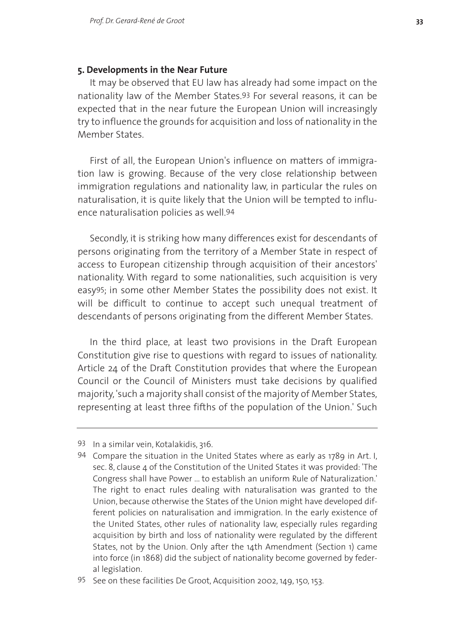## **5. Developments in the Near Future**

It may be observed that EU law has already had some impact on the nationality law of the Member States.93 For several reasons, it can be expected that in the near future the European Union will increasingly try to influence the grounds for acquisition and loss of nationality in the Member States.

First of all, the European Union's influence on matters of immigration law is growing. Because of the very close relationship between immigration regulations and nationality law, in particular the rules on naturalisation, it is quite likely that the Union will be tempted to influence naturalisation policies as well.94

Secondly, it is striking how many differences exist for descendants of persons originating from the territory of a Member State in respect of access to European citizenship through acquisition of their ancestors' nationality. With regard to some nationalities, such acquisition is very easy95; in some other Member States the possibility does not exist. It will be difficult to continue to accept such unequal treatment of descendants of persons originating from the different Member States.

In the third place, at least two provisions in the Draft European Constitution give rise to questions with regard to issues of nationality. Article 24 of the Draft Constitution provides that where the European Council or the Council of Ministers must take decisions by qualified majority, 'such a majority shall consist of the majority of Member States, representing at least three fifths of the population of the Union.' Such

<sup>93</sup> In a similar vein, Kotalakidis, 316.

<sup>94</sup> Compare the situation in the United States where as early as 1789 in Art. I, sec. 8, clause 4 of the Constitution of the United States it was provided: 'The Congress shall have Power ... to establish an uniform Rule of Naturalization.' The right to enact rules dealing with naturalisation was granted to the Union, because otherwise the States of the Union might have developed different policies on naturalisation and immigration. In the early existence of the United States, other rules of nationality law, especially rules regarding acquisition by birth and loss of nationality were regulated by the different States, not by the Union. Only after the 14th Amendment (Section 1) came into force (in 1868) did the subject of nationality become governed by federal legislation.

<sup>95</sup> See on these facilities De Groot, Acquisition 2002, 149, 150, 153.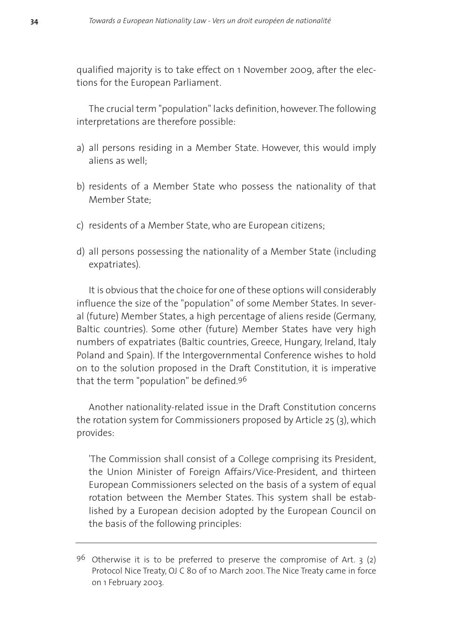qualified majority is to take effect on 1 November 2009, after the elections for the European Parliament.

The crucial term "population" lacks definition, however. The following interpretations are therefore possible:

- a) all persons residing in a Member State. However, this would imply aliens as well;
- b) residents of a Member State who possess the nationality of that Member State;
- c) residents of a Member State, who are European citizens;
- d) all persons possessing the nationality of a Member State (including expatriates).

It is obvious that the choice for one of these options will considerably influence the size of the "population" of some Member States. In several (future) Member States, a high percentage of aliens reside (Germany, Baltic countries). Some other (future) Member States have very high numbers of expatriates (Baltic countries, Greece, Hungary, Ireland, Italy Poland and Spain). If the Intergovernmental Conference wishes to hold on to the solution proposed in the Draft Constitution, it is imperative that the term "population" be defined.96

Another nationality-related issue in the Draft Constitution concerns the rotation system for Commissioners proposed by Article 25 (3), which provides:

'The Commission shall consist of a College comprising its President, the Union Minister of Foreign Affairs/Vice-President, and thirteen European Commissioners selected on the basis of a system of equal rotation between the Member States. This system shall be established by a European decision adopted by the European Council on the basis of the following principles:

 $9<sup>6</sup>$  Otherwise it is to be preferred to preserve the compromise of Art. 3 (2) Protocol Nice Treaty, OJ C 80 of 10 March 2001. The Nice Treaty came in force on 1 February 2003.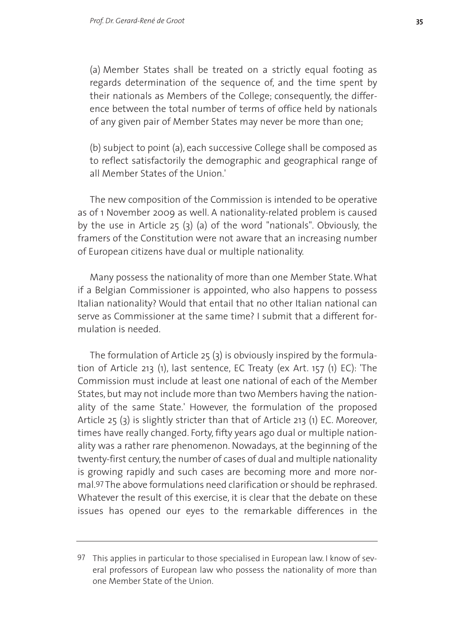(a) Member States shall be treated on a strictly equal footing as regards determination of the sequence of, and the time spent by their nationals as Members of the College; consequently, the difference between the total number of terms of office held by nationals of any given pair of Member States may never be more than one;

(b) subject to point (a), each successive College shall be composed as to reflect satisfactorily the demographic and geographical range of all Member States of the Union.'

The new composition of the Commission is intended to be operative as of 1 November 2009 as well. A nationality-related problem is caused by the use in Article 25 (3) (a) of the word "nationals". Obviously, the framers of the Constitution were not aware that an increasing number of European citizens have dual or multiple nationality.

Many possess the nationality of more than one Member State. What if a Belgian Commissioner is appointed, who also happens to possess Italian nationality? Would that entail that no other Italian national can serve as Commissioner at the same time? I submit that a different formulation is needed.

The formulation of Article 25 (3) is obviously inspired by the formulation of Article 213 (1), last sentence, EC Treaty (ex Art. 157 (1) EC): 'The Commission must include at least one national of each of the Member States, but may not include more than two Members having the nationality of the same State.' However, the formulation of the proposed Article 25 (3) is slightly stricter than that of Article 213 (1) EC. Moreover, times have really changed. Forty, fifty years ago dual or multiple nationality was a rather rare phenomenon. Nowadays, at the beginning of the twenty-first century, the number of cases of dual and multiple nationality is growing rapidly and such cases are becoming more and more normal.97 The above formulations need clarification or should be rephrased. Whatever the result of this exercise, it is clear that the debate on these issues has opened our eyes to the remarkable differences in the

<sup>97</sup> This applies in particular to those specialised in European law. I know of several professors of European law who possess the nationality of more than one Member State of the Union.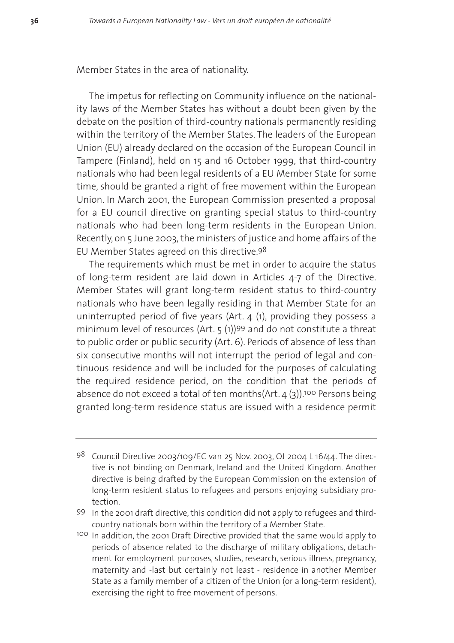#### Member States in the area of nationality.

The impetus for reflecting on Community influence on the nationality laws of the Member States has without a doubt been given by the debate on the position of third-country nationals permanently residing within the territory of the Member States. The leaders of the European Union (EU) already declared on the occasion of the European Council in Tampere (Finland), held on 15 and 16 October 1999, that third-country nationals who had been legal residents of a EU Member State for some time, should be granted a right of free movement within the European Union. In March 2001, the European Commission presented a proposal for a EU council directive on granting special status to third-country nationals who had been long-term residents in the European Union. Recently, on 5 June 2003, the ministers of justice and home affairs of the EU Member States agreed on this directive.98

The requirements which must be met in order to acquire the status of long-term resident are laid down in Articles 4-7 of the Directive. Member States will grant long-term resident status to third-country nationals who have been legally residing in that Member State for an uninterrupted period of five years (Art. 4 (1), providing they possess a minimum level of resources (Art. 5 (1))99 and do not constitute a threat to public order or public security (Art. 6). Periods of absence of less than six consecutive months will not interrupt the period of legal and continuous residence and will be included for the purposes of calculating the required residence period, on the condition that the periods of absence do not exceed a total of ten months( $Art. 4$  (3)).<sup>100</sup> Persons being granted long-term residence status are issued with a residence permit

<sup>98</sup> Council Directive 2003/109/EC van 25 Nov. 2003, OJ 2004 L 16/44. The directive is not binding on Denmark, Ireland and the United Kingdom. Another directive is being drafted by the European Commission on the extension of long-term resident status to refugees and persons enjoying subsidiary protection.

<sup>99</sup> In the 2001 draft directive, this condition did not apply to refugees and thirdcountry nationals born within the territory of a Member State.

<sup>100</sup> In addition, the 2001 Draft Directive provided that the same would apply to periods of absence related to the discharge of military obligations, detachment for employment purposes, studies, research, serious illness, pregnancy, maternity and -last but certainly not least - residence in another Member State as a family member of a citizen of the Union (or a long-term resident), exercising the right to free movement of persons.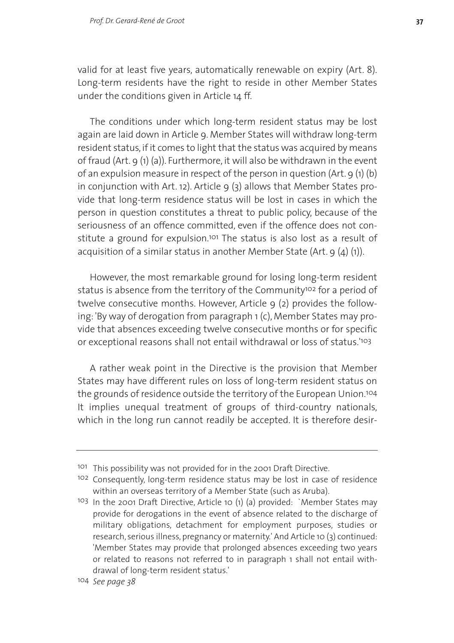valid for at least five years, automatically renewable on expiry (Art. 8). Long-term residents have the right to reside in other Member States under the conditions given in Article 14 ff.

The conditions under which long-term resident status may be lost again are laid down in Article 9. Member States will withdraw long-term resident status, if it comes to light that the status was acquired by means of fraud (Art. 9 (1) (a)). Furthermore, it will also be withdrawn in the event of an expulsion measure in respect of the person in question (Art. 9 (1) (b) in conjunction with Art. 12). Article  $9(3)$  allows that Member States provide that long-term residence status will be lost in cases in which the person in question constitutes a threat to public policy, because of the seriousness of an offence committed, even if the offence does not constitute a ground for expulsion.<sup>101</sup> The status is also lost as a result of acquisition of a similar status in another Member State (Art. 9 (4) (1)).

However, the most remarkable ground for losing long-term resident status is absence from the territory of the Community<sup>102</sup> for a period of twelve consecutive months. However, Article 9 (2) provides the following: 'By way of derogation from paragraph 1 (c), Member States may provide that absences exceeding twelve consecutive months or for specific or exceptional reasons shall not entail withdrawal or loss of status.'103

A rather weak point in the Directive is the provision that Member States may have different rules on loss of long-term resident status on the grounds of residence outside the territory of the European Union.104 It implies unequal treatment of groups of third-country nationals, which in the long run cannot readily be accepted. It is therefore desir-

<sup>101</sup> This possibility was not provided for in the 2001 Draft Directive.

<sup>102</sup> Consequently, long-term residence status may be lost in case of residence within an overseas territory of a Member State (such as Aruba).

<sup>103</sup> In the 2001 Draft Directive, Article 10 (1) (a) provided: `Member States may provide for derogations in the event of absence related to the discharge of military obligations, detachment for employment purposes, studies or research, serious illness, pregnancy or maternity.' And Article 10 (3) continued: 'Member States may provide that prolonged absences exceeding two years or related to reasons not referred to in paragraph 1 shall not entail withdrawal of long-term resident status.'

<sup>104</sup> *See page 38*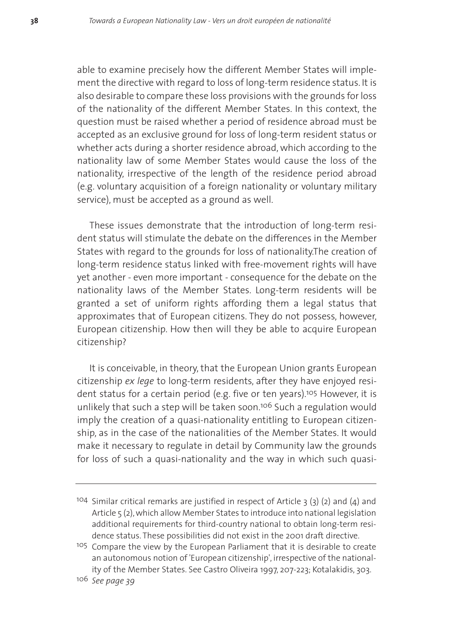able to examine precisely how the different Member States will implement the directive with regard to loss of long-term residence status. It is also desirable to compare these loss provisions with the grounds for loss of the nationality of the different Member States. In this context, the question must be raised whether a period of residence abroad must be accepted as an exclusive ground for loss of long-term resident status or whether acts during a shorter residence abroad, which according to the nationality law of some Member States would cause the loss of the nationality, irrespective of the length of the residence period abroad (e.g. voluntary acquisition of a foreign nationality or voluntary military service), must be accepted as a ground as well.

These issues demonstrate that the introduction of long-term resident status will stimulate the debate on the differences in the Member States with regard to the grounds for loss of nationality.The creation of long-term residence status linked with free-movement rights will have yet another - even more important - consequence for the debate on the nationality laws of the Member States. Long-term residents will be granted a set of uniform rights affording them a legal status that approximates that of European citizens. They do not possess, however, European citizenship. How then will they be able to acquire European citizenship?

It is conceivable, in theory, that the European Union grants European citizenship *ex lege* to long-term residents, after they have enjoyed resident status for a certain period (e.g. five or ten years).<sup>105</sup> However, it is unlikely that such a step will be taken soon.106 Such a regulation would imply the creation of a quasi-nationality entitling to European citizenship, as in the case of the nationalities of the Member States. It would make it necessary to regulate in detail by Community law the grounds for loss of such a quasi-nationality and the way in which such quasi-

<sup>104</sup> Similar critical remarks are justified in respect of Article 3 (3) (2) and (4) and Article 5 (2), which allow Member States to introduce into national legislation additional requirements for third-country national to obtain long-term residence status. These possibilities did not exist in the 2001 draft directive.

<sup>105</sup> Compare the view by the European Parliament that it is desirable to create an autonomous notion of 'European citizenship', irrespective of the nationality of the Member States. See Castro Oliveira 1997, 207-223; Kotalakidis, 303.

<sup>106</sup> *See page 39*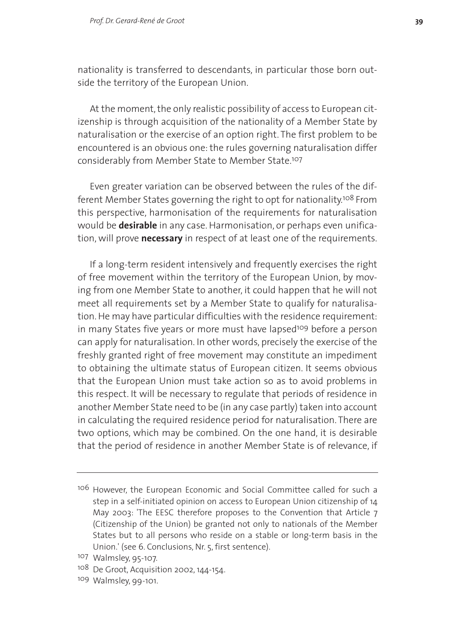nationality is transferred to descendants, in particular those born outside the territory of the European Union.

At the moment, the only realistic possibility of access to European citizenship is through acquisition of the nationality of a Member State by naturalisation or the exercise of an option right. The first problem to be encountered is an obvious one: the rules governing naturalisation differ considerably from Member State to Member State.107

Even greater variation can be observed between the rules of the different Member States governing the right to opt for nationality.108 From this perspective, harmonisation of the requirements for naturalisation would be **desirable** in any case. Harmonisation, or perhaps even unification, will prove **necessary** in respect of at least one of the requirements.

If a long-term resident intensively and frequently exercises the right of free movement within the territory of the European Union, by moving from one Member State to another, it could happen that he will not meet all requirements set by a Member State to qualify for naturalisation. He may have particular difficulties with the residence requirement: in many States five years or more must have lapsed<sup>109</sup> before a person can apply for naturalisation. In other words, precisely the exercise of the freshly granted right of free movement may constitute an impediment to obtaining the ultimate status of European citizen. It seems obvious that the European Union must take action so as to avoid problems in this respect. It will be necessary to regulate that periods of residence in another Member State need to be (in any case partly) taken into account in calculating the required residence period for naturalisation. There are two options, which may be combined. On the one hand, it is desirable that the period of residence in another Member State is of relevance, if

<sup>&</sup>lt;sup>106</sup> However, the European Economic and Social Committee called for such a step in a self-initiated opinion on access to European Union citizenship of 14 May 2003: 'The EESC therefore proposes to the Convention that Article 7 (Citizenship of the Union) be granted not only to nationals of the Member States but to all persons who reside on a stable or long-term basis in the Union.' (see 6. Conclusions, Nr. 5, first sentence).

<sup>107</sup> Walmsley, 95-107.

<sup>&</sup>lt;sup>108</sup> De Groot, Acquisition 2002, 144-154.

<sup>109</sup> Walmsley, 99-101.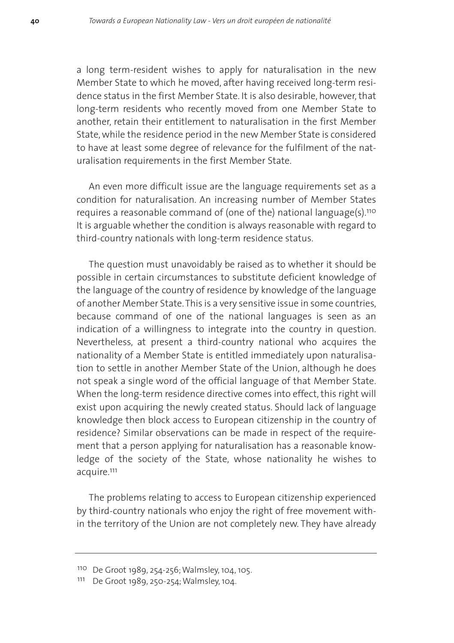a long term-resident wishes to apply for naturalisation in the new Member State to which he moved, after having received long-term residence status in the first Member State. It is also desirable, however, that long-term residents who recently moved from one Member State to another, retain their entitlement to naturalisation in the first Member State, while the residence period in the new Member State is considered to have at least some degree of relevance for the fulfilment of the naturalisation requirements in the first Member State.

An even more difficult issue are the language requirements set as a condition for naturalisation. An increasing number of Member States requires a reasonable command of (one of the) national language(s).110 It is arguable whether the condition is always reasonable with regard to third-country nationals with long-term residence status.

The question must unavoidably be raised as to whether it should be possible in certain circumstances to substitute deficient knowledge of the language of the country of residence by knowledge of the language of another Member State.This is a very sensitive issue in some countries, because command of one of the national languages is seen as an indication of a willingness to integrate into the country in question. Nevertheless, at present a third-country national who acquires the nationality of a Member State is entitled immediately upon naturalisation to settle in another Member State of the Union, although he does not speak a single word of the official language of that Member State. When the long-term residence directive comes into effect, this right will exist upon acquiring the newly created status. Should lack of language knowledge then block access to European citizenship in the country of residence? Similar observations can be made in respect of the requirement that a person applying for naturalisation has a reasonable knowledge of the society of the State, whose nationality he wishes to acquire.111

The problems relating to access to European citizenship experienced by third-country nationals who enjoy the right of free movement within the territory of the Union are not completely new. They have already

<sup>110</sup> De Groot 1989, 254-256; Walmsley, 104, 105.

<sup>111</sup> De Groot 1989, 250-254; Walmsley, 104.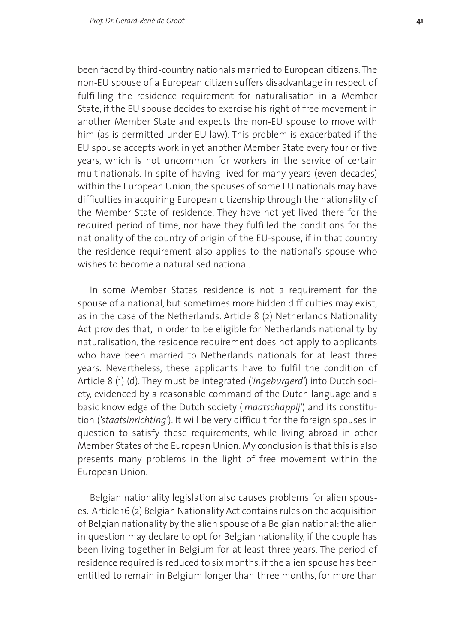been faced by third-country nationals married to European citizens. The non-EU spouse of a European citizen suffers disadvantage in respect of fulfilling the residence requirement for naturalisation in a Member State, if the EU spouse decides to exercise his right of free movement in another Member State and expects the non-EU spouse to move with him (as is permitted under EU law). This problem is exacerbated if the EU spouse accepts work in yet another Member State every four or five years, which is not uncommon for workers in the service of certain multinationals. In spite of having lived for many years (even decades) within the European Union, the spouses of some EU nationals may have difficulties in acquiring European citizenship through the nationality of the Member State of residence. They have not yet lived there for the required period of time, nor have they fulfilled the conditions for the nationality of the country of origin of the EU-spouse, if in that country the residence requirement also applies to the national's spouse who wishes to become a naturalised national.

In some Member States, residence is not a requirement for the spouse of a national, but sometimes more hidden difficulties may exist, as in the case of the Netherlands. Article 8 (2) Netherlands Nationality Act provides that, in order to be eligible for Netherlands nationality by naturalisation, the residence requirement does not apply to applicants who have been married to Netherlands nationals for at least three years. Nevertheless, these applicants have to fulfil the condition of Article 8 (1) (d). They must be integrated (*'ingeburgerd'*) into Dutch society, evidenced by a reasonable command of the Dutch language and a basic knowledge of the Dutch society (*'maatschappij'*) and its constitution (*'staatsinrichting'*). It will be very difficult for the foreign spouses in question to satisfy these requirements, while living abroad in other Member States of the European Union. My conclusion is that this is also presents many problems in the light of free movement within the European Union.

Belgian nationality legislation also causes problems for alien spouses. Article 16 (2) Belgian Nationality Act contains rules on the acquisition of Belgian nationality by the alien spouse of a Belgian national: the alien in question may declare to opt for Belgian nationality, if the couple has been living together in Belgium for at least three years. The period of residence required is reduced to six months, if the alien spouse has been entitled to remain in Belgium longer than three months, for more than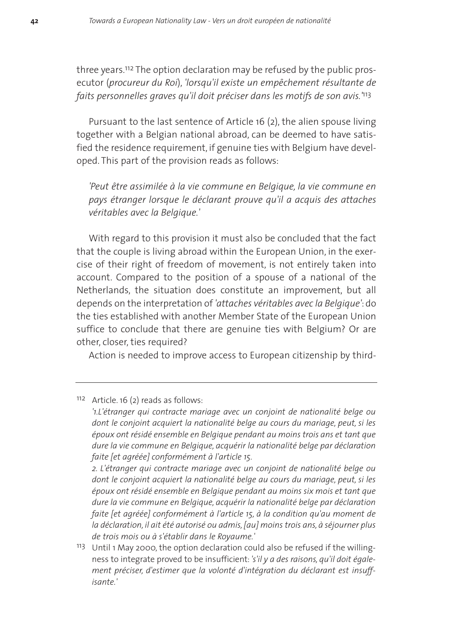three years.112 The option declaration may be refused by the public prosecutor (*procureur du Roi*), *'lorsqu'il existe un empêchement résultante de faits personnelles graves qu'il doit préciser dans les motifs de son avis.'*113

Pursuant to the last sentence of Article 16 (2), the alien spouse living together with a Belgian national abroad, can be deemed to have satisfied the residence requirement, if genuine ties with Belgium have developed. This part of the provision reads as follows:

*'Peut être assimilée à la vie commune en Belgique, la vie commune en pays étranger lorsque le déclarant prouve qu'il a acquis des attaches véritables avec la Belgique.'*

With regard to this provision it must also be concluded that the fact that the couple is living abroad within the European Union, in the exercise of their right of freedom of movement, is not entirely taken into account. Compared to the position of a spouse of a national of the Netherlands, the situation does constitute an improvement, but all depends on the interpretation of *'attaches véritables avec la Belgique'*: do the ties established with another Member State of the European Union suffice to conclude that there are genuine ties with Belgium? Or are other, closer, ties required?

Action is needed to improve access to European citizenship by third-

*2. L'étranger qui contracte mariage avec un conjoint de nationalité belge ou dont le conjoint acquiert la nationalité belge au cours du mariage, peut, si les époux ont résidé ensemble en Belgique pendant au moins six mois et tant que dure la vie commune en Belgique, acquérir la nationalité belge par déclaration faite [et agréée] conformément à l'article 15, à la condition qu'au moment de la déclaration, il ait été autorisé ou admis, [au] moins trois ans, à séjourner plus de trois mois ou à s'établir dans le Royaume.'*

<sup>112</sup> Article. 16 (2) reads as follows:

*<sup>&#</sup>x27;1.L'étranger qui contracte mariage avec un conjoint de nationalité belge ou dont le conjoint acquiert la nationalité belge au cours du mariage, peut, si les époux ont résidé ensemble en Belgique pendant au moins trois ans et tant que dure la vie commune en Belgique, acquérir la nationalité belge par déclaration faite [et agréée] conformément à l'article 15.*

<sup>113</sup> Until 1 May 2000, the option declaration could also be refused if the willingness to integrate proved to be insufficient: *'s'il y a des raisons, qu'il doit également préciser, d'estimer que la volonté d'intégration du déclarant est insuffisante.'*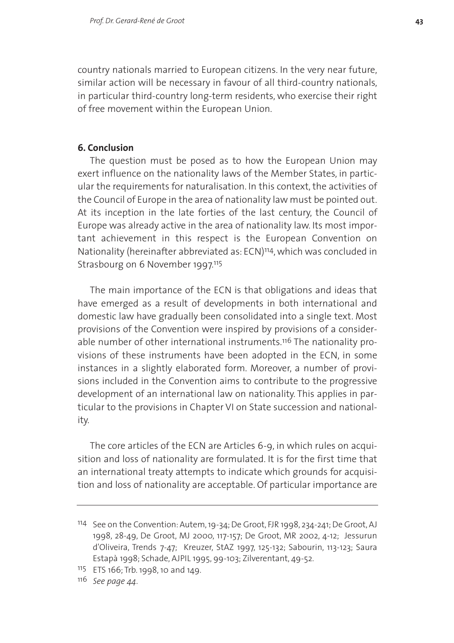country nationals married to European citizens. In the very near future, similar action will be necessary in favour of all third-country nationals, in particular third-country long-term residents, who exercise their right of free movement within the European Union.

## **6. Conclusion**

The question must be posed as to how the European Union may exert influence on the nationality laws of the Member States, in particular the requirements for naturalisation. In this context, the activities of the Council of Europe in the area of nationality law must be pointed out. At its inception in the late forties of the last century, the Council of Europe was already active in the area of nationality law. Its most important achievement in this respect is the European Convention on Nationality (hereinafter abbreviated as: ECN)114, which was concluded in Strasbourg on 6 November 1997.<sup>115</sup>

The main importance of the ECN is that obligations and ideas that have emerged as a result of developments in both international and domestic law have gradually been consolidated into a single text. Most provisions of the Convention were inspired by provisions of a considerable number of other international instruments.<sup>116</sup> The nationality provisions of these instruments have been adopted in the ECN, in some instances in a slightly elaborated form. Moreover, a number of provisions included in the Convention aims to contribute to the progressive development of an international law on nationality. This applies in particular to the provisions in Chapter VI on State succession and nationality.

The core articles of the ECN are Articles 6-9, in which rules on acquisition and loss of nationality are formulated. It is for the first time that an international treaty attempts to indicate which grounds for acquisition and loss of nationality are acceptable. Of particular importance are

<sup>114</sup> See on the Convention: Autem, 19-34; De Groot, FJR 1998, 234-241; De Groot, AJ 1998, 28-49, De Groot, MJ 2000, 117-157; De Groot, MR 2002, 4-12; Jessurun d'Oliveira, Trends 7-47; Kreuzer, StAZ 1997, 125-132; Sabourin, 113-123; Saura Estapà 1998; Schade, AJPIL 1995, 99-103; Zilverentant, 49-52.

<sup>115</sup> ETS 166; Trb. 1998, 10 and 149.

<sup>116</sup> *See page 44.*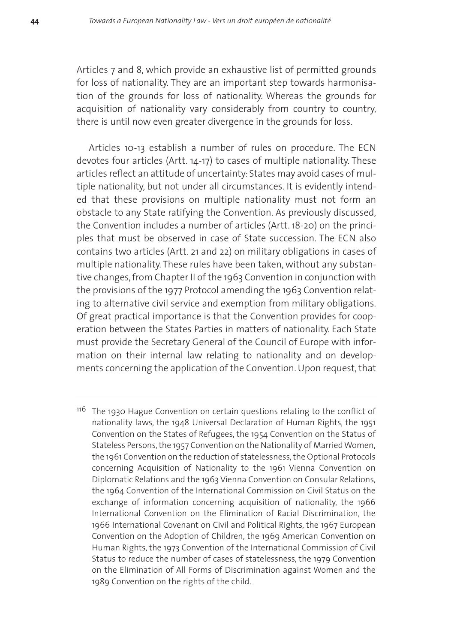Articles 7 and 8, which provide an exhaustive list of permitted grounds for loss of nationality. They are an important step towards harmonisation of the grounds for loss of nationality. Whereas the grounds for acquisition of nationality vary considerably from country to country. there is until now even greater divergence in the grounds for loss.

Articles 10-13 establish a number of rules on procedure. The ECN devotes four articles (Artt. 14-17) to cases of multiple nationality. These articles reflect an attitude of uncertainty: States may avoid cases of multiple nationality, but not under all circumstances. It is evidently intended that these provisions on multiple nationality must not form an obstacle to any State ratifying the Convention. As previously discussed, the Convention includes a number of articles (Artt. 18-20) on the principles that must be observed in case of State succession. The ECN also contains two articles (Artt. 21 and 22) on military obligations in cases of multiple nationality. These rules have been taken, without any substantive changes, from Chapter II of the 1963 Convention in conjunction with the provisions of the 1977 Protocol amending the 1963 Convention relating to alternative civil service and exemption from military obligations. Of great practical importance is that the Convention provides for cooperation between the States Parties in matters of nationality. Each State must provide the Secretary General of the Council of Europe with information on their internal law relating to nationality and on developments concerning the application of the Convention. Upon request, that

<sup>116</sup> The 1930 Hague Convention on certain questions relating to the conflict of nationality laws, the 1948 Universal Declaration of Human Rights, the 1951 Convention on the States of Refugees, the 1954 Convention on the Status of Stateless Persons, the 1957 Convention on the Nationality of Married Women, the 1961 Convention on the reduction of statelessness, the Optional Protocols concerning Acquisition of Nationality to the 1961 Vienna Convention on Diplomatic Relations and the 1963 Vienna Convention on Consular Relations, the 1964 Convention of the International Commission on Civil Status on the exchange of information concerning acquisition of nationality, the 1966 International Convention on the Elimination of Racial Discrimination, the 1966 International Covenant on Civil and Political Rights, the 1967 European Convention on the Adoption of Children, the 1969 American Convention on Human Rights, the 1973 Convention of the International Commission of Civil Status to reduce the number of cases of statelessness, the 1979 Convention on the Elimination of All Forms of Discrimination against Women and the 1989 Convention on the rights of the child.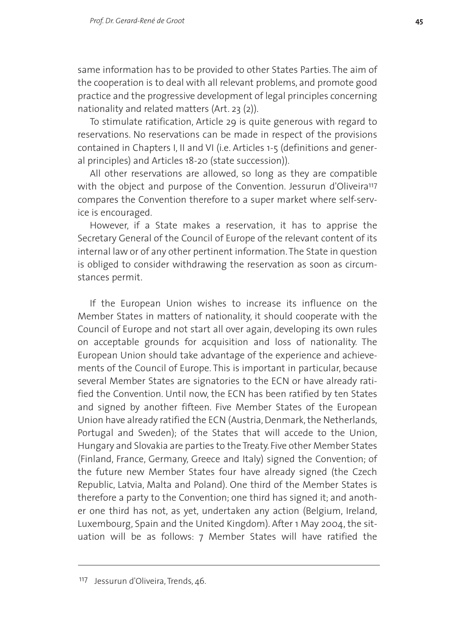same information has to be provided to other States Parties. The aim of the cooperation is to deal with all relevant problems, and promote good practice and the progressive development of legal principles concerning nationality and related matters (Art. 23 (2)).

To stimulate ratification, Article 29 is quite generous with regard to reservations. No reservations can be made in respect of the provisions contained in Chapters I, II and VI (i.e. Articles 1-5 (definitions and general principles) and Articles 18-20 (state succession)).

All other reservations are allowed, so long as they are compatible with the object and purpose of the Convention. Jessurun d'Oliveira<sup>117</sup> compares the Convention therefore to a super market where self-service is encouraged.

However, if a State makes a reservation, it has to apprise the Secretary General of the Council of Europe of the relevant content of its internal law or of any other pertinent information. The State in question is obliged to consider withdrawing the reservation as soon as circumstances permit.

If the European Union wishes to increase its influence on the Member States in matters of nationality, it should cooperate with the Council of Europe and not start all over again, developing its own rules on acceptable grounds for acquisition and loss of nationality. The European Union should take advantage of the experience and achievements of the Council of Europe. This is important in particular, because several Member States are signatories to the ECN or have already ratified the Convention. Until now, the ECN has been ratified by ten States and signed by another fifteen. Five Member States of the European Union have already ratified the ECN (Austria, Denmark, the Netherlands, Portugal and Sweden); of the States that will accede to the Union, Hungary and Slovakia are parties to the Treaty. Five other Member States (Finland, France, Germany, Greece and Italy) signed the Convention; of the future new Member States four have already signed (the Czech Republic, Latvia, Malta and Poland). One third of the Member States is therefore a party to the Convention; one third has signed it; and another one third has not, as yet, undertaken any action (Belgium, Ireland, Luxembourg, Spain and the United Kingdom). After 1 May 2004, the situation will be as follows: 7 Member States will have ratified the

<sup>117</sup> Jessurun d'Oliveira, Trends, 46.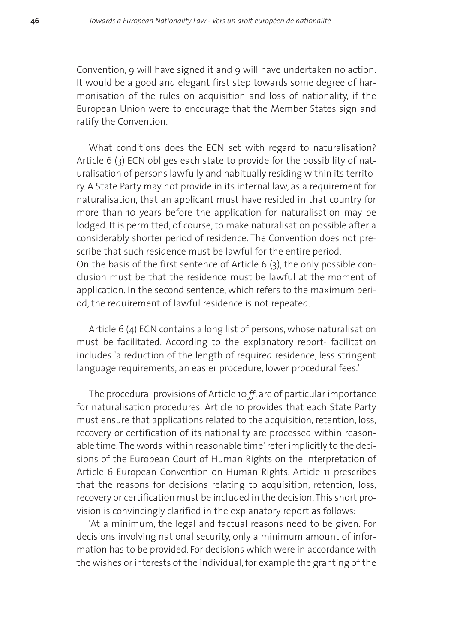Convention, 9 will have signed it and 9 will have undertaken no action. It would be a good and elegant first step towards some degree of harmonisation of the rules on acquisition and loss of nationality, if the European Union were to encourage that the Member States sign and ratify the Convention.

What conditions does the ECN set with regard to naturalisation? Article 6 (3) ECN obliges each state to provide for the possibility of naturalisation of persons lawfully and habitually residing within its territory. A State Party may not provide in its internal law, as a requirement for naturalisation, that an applicant must have resided in that country for more than 10 years before the application for naturalisation may be lodged. It is permitted, of course, to make naturalisation possible after a considerably shorter period of residence. The Convention does not prescribe that such residence must be lawful for the entire period. On the basis of the first sentence of Article 6 (3), the only possible conclusion must be that the residence must be lawful at the moment of application. In the second sentence, which refers to the maximum period, the requirement of lawful residence is not repeated.

Article 6 (4) ECN contains a long list of persons, whose naturalisation must be facilitated. According to the explanatory report- facilitation includes 'a reduction of the length of required residence, less stringent language requirements, an easier procedure, lower procedural fees.'

The procedural provisions of Article 10 *ff*. are of particular importance for naturalisation procedures. Article 10 provides that each State Party must ensure that applications related to the acquisition, retention, loss, recovery or certification of its nationality are processed within reasonable time.The words 'within reasonable time' refer implicitly to the decisions of the European Court of Human Rights on the interpretation of Article 6 European Convention on Human Rights. Article 11 prescribes that the reasons for decisions relating to acquisition, retention, loss, recovery or certification must be included in the decision. This short provision is convincingly clarified in the explanatory report as follows:

'At a minimum, the legal and factual reasons need to be given. For decisions involving national security, only a minimum amount of information has to be provided. For decisions which were in accordance with the wishes or interests of the individual, for example the granting of the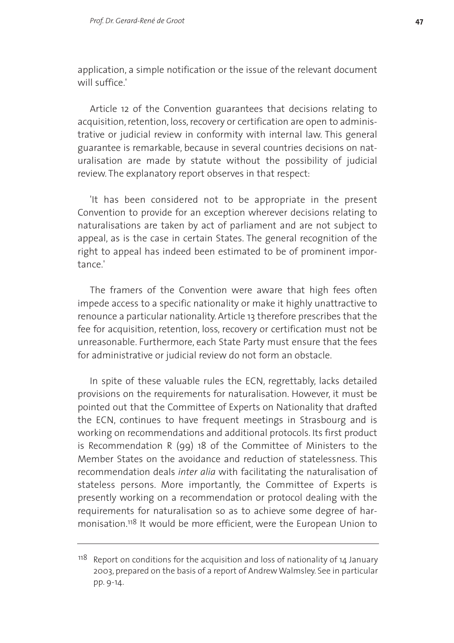application, a simple notification or the issue of the relevant document will suffice.'

Article 12 of the Convention guarantees that decisions relating to acquisition, retention, loss, recovery or certification are open to administrative or judicial review in conformity with internal law. This general guarantee is remarkable, because in several countries decisions on naturalisation are made by statute without the possibility of judicial review. The explanatory report observes in that respect:

'It has been considered not to be appropriate in the present Convention to provide for an exception wherever decisions relating to naturalisations are taken by act of parliament and are not subject to appeal, as is the case in certain States. The general recognition of the right to appeal has indeed been estimated to be of prominent importance.'

The framers of the Convention were aware that high fees often impede access to a specific nationality or make it highly unattractive to renounce a particular nationality. Article 13 therefore prescribes that the fee for acquisition, retention, loss, recovery or certification must not be unreasonable. Furthermore, each State Party must ensure that the fees for administrative or judicial review do not form an obstacle.

In spite of these valuable rules the ECN, regrettably, lacks detailed provisions on the requirements for naturalisation. However, it must be pointed out that the Committee of Experts on Nationality that drafted the ECN, continues to have frequent meetings in Strasbourg and is working on recommendations and additional protocols. Its first product is Recommendation R (99) 18 of the Committee of Ministers to the Member States on the avoidance and reduction of statelessness. This recommendation deals *inter alia* with facilitating the naturalisation of stateless persons. More importantly, the Committee of Experts is presently working on a recommendation or protocol dealing with the requirements for naturalisation so as to achieve some degree of harmonisation.118 It would be more efficient, were the European Union to

 $118$  Report on conditions for the acquisition and loss of nationality of 14 January 2003, prepared on the basis of a report of Andrew Walmsley. See in particular pp. 9-14.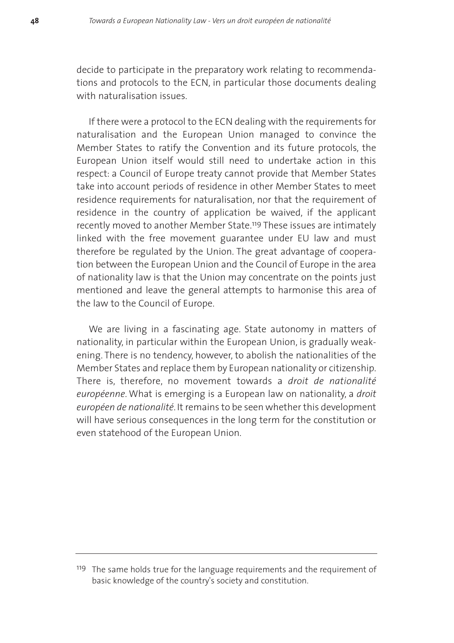decide to participate in the preparatory work relating to recommendations and protocols to the ECN, in particular those documents dealing with naturalisation issues.

If there were a protocol to the ECN dealing with the requirements for naturalisation and the European Union managed to convince the Member States to ratify the Convention and its future protocols, the European Union itself would still need to undertake action in this respect: a Council of Europe treaty cannot provide that Member States take into account periods of residence in other Member States to meet residence requirements for naturalisation, nor that the requirement of residence in the country of application be waived, if the applicant recently moved to another Member State.119 These issues are intimately linked with the free movement guarantee under EU law and must therefore be regulated by the Union. The great advantage of cooperation between the European Union and the Council of Europe in the area of nationality law is that the Union may concentrate on the points just mentioned and leave the general attempts to harmonise this area of the law to the Council of Europe.

We are living in a fascinating age. State autonomy in matters of nationality, in particular within the European Union, is gradually weakening. There is no tendency, however, to abolish the nationalities of the Member States and replace them by European nationality or citizenship. There is, therefore, no movement towards a *droit de nationalité européenne*. What is emerging is a European law on nationality, a *droit européen de nationalité*. It remains to be seen whether this development will have serious consequences in the long term for the constitution or even statehood of the European Union.

<sup>&</sup>lt;sup>119</sup> The same holds true for the language requirements and the requirement of basic knowledge of the country's society and constitution.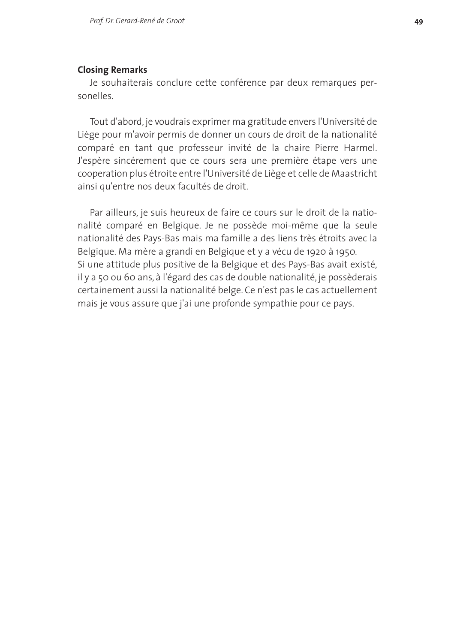#### **Closing Remarks**

Je souhaiterais conclure cette conférence par deux remarques personelles.

Tout d'abord, je voudrais exprimer ma gratitude envers l'Université de Liège pour m'avoir permis de donner un cours de droit de la nationalité comparé en tant que professeur invité de la chaire Pierre Harmel. J'espère sincérement que ce cours sera une première étape vers une cooperation plus étroite entre l'Université de Liège et celle de Maastricht ainsi qu'entre nos deux facultés de droit.

Par ailleurs, je suis heureux de faire ce cours sur le droit de la nationalité comparé en Belgique. Je ne possède moi-même que la seule nationalité des Pays-Bas mais ma famille a des liens très étroits avec la Belgique. Ma mère a grandi en Belgique et y a vécu de 1920 à 1950. Si une attitude plus positive de la Belgique et des Pays-Bas avait existé, il y a 50 ou 60 ans, à l'égard des cas de double nationalité, je possèderais certainement aussi la nationalité belge. Ce n'est pas le cas actuellement mais je vous assure que j'ai une profonde sympathie pour ce pays.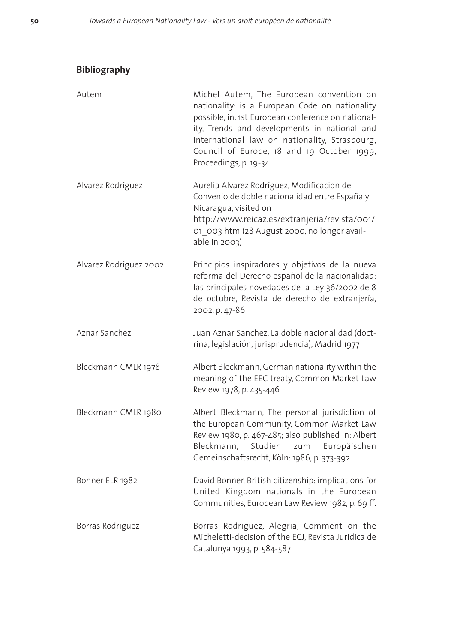# **Bibliography**

| Autem                  | Michel Autem, The European convention on<br>nationality: is a European Code on nationality<br>possible, in: 1st European conference on national-<br>ity, Trends and developments in national and<br>international law on nationality, Strasbourg,<br>Council of Europe, 18 and 19 October 1999,<br>Proceedings, p. 19-34 |
|------------------------|--------------------------------------------------------------------------------------------------------------------------------------------------------------------------------------------------------------------------------------------------------------------------------------------------------------------------|
| Alvarez Rodríguez      | Aurelia Alvarez Rodríguez, Modificacion del<br>Convenio de doble nacionalidad entre España y<br>Nicaragua, visited on<br>http://www.reicaz.es/extranjeria/revista/001/<br>01 003 htm (28 August 2000, no longer avail-<br>able in 2003)                                                                                  |
| Alvarez Rodríguez 2002 | Principios inspiradores y objetivos de la nueva<br>reforma del Derecho español de la nacionalidad:<br>las principales novedades de la Ley 36/2002 de 8<br>de octubre, Revista de derecho de extranjería,<br>2002, p. 47-86                                                                                               |
| Aznar Sanchez          | Juan Aznar Sanchez, La doble nacionalidad (doct-<br>rina, legislación, jurisprudencia), Madrid 1977                                                                                                                                                                                                                      |
| Bleckmann CMLR 1978    | Albert Bleckmann, German nationality within the<br>meaning of the EEC treaty, Common Market Law<br>Review 1978, p. 435-446                                                                                                                                                                                               |
| Bleckmann CMLR 1980    | Albert Bleckmann, The personal jurisdiction of<br>the European Community, Common Market Law<br>Review 1980, p. 467-485; also published in: Albert<br>Bleckmann,<br>Studien<br>zum<br>Europäischen<br>Gemeinschaftsrecht, Köln: 1986, p. 373-392                                                                          |
| Bonner ELR 1982        | David Bonner, British citizenship: implications for<br>United Kingdom nationals in the European<br>Communities, European Law Review 1982, p. 69 ff.                                                                                                                                                                      |
| Borras Rodriguez       | Borras Rodriguez, Alegria, Comment on the<br>Micheletti-decision of the ECJ, Revista Juridica de<br>Catalunya 1993, p. 584-587                                                                                                                                                                                           |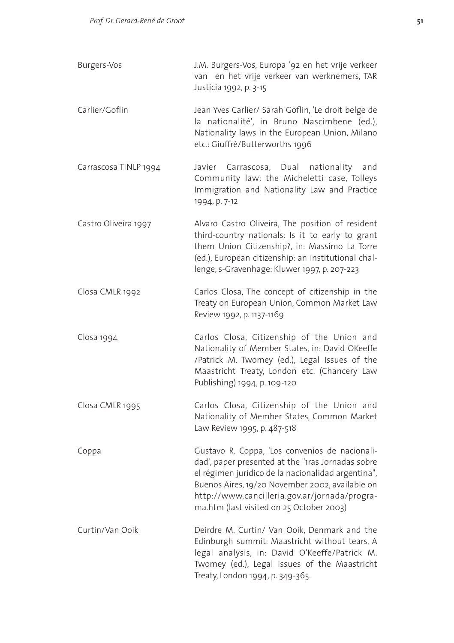| Burgers-Vos           | J.M. Burgers-Vos, Europa '92 en het vrije verkeer<br>van en het vrije verkeer van werknemers, TAR<br>Justicia 1992, p. 3-15                                                                                                                                                                               |
|-----------------------|-----------------------------------------------------------------------------------------------------------------------------------------------------------------------------------------------------------------------------------------------------------------------------------------------------------|
| Carlier/Goflin        | Jean Yves Carlier/ Sarah Goflin, 'Le droit belge de<br>la nationalité', in Bruno Nascimbene (ed.),<br>Nationality laws in the European Union, Milano<br>etc.: Giuffrè/Butterworths 1996                                                                                                                   |
| Carrascosa TINLP 1994 | Javier Carrascosa, Dual<br>nationality<br>and<br>Community law: the Micheletti case, Tolleys<br>Immigration and Nationality Law and Practice<br>1994, p. 7-12                                                                                                                                             |
| Castro Oliveira 1997  | Alvaro Castro Oliveira, The position of resident<br>third-country nationals: Is it to early to grant<br>them Union Citizenship?, in: Massimo La Torre<br>(ed.), European citizenship: an institutional chal-<br>lenge, s-Gravenhage: Kluwer 1997, p. 207-223                                              |
| Closa CMLR 1992       | Carlos Closa, The concept of citizenship in the<br>Treaty on European Union, Common Market Law<br>Review 1992, p. 1137-1169                                                                                                                                                                               |
| Closa 1994            | Carlos Closa, Citizenship of the Union and<br>Nationality of Member States, in: David OKeeffe<br>/Patrick M. Twomey (ed.), Legal Issues of the<br>Maastricht Treaty, London etc. (Chancery Law<br>Publishing) 1994, p. 109-120                                                                            |
| Closa CMLR 1995       | Carlos Closa, Citizenship of the Union and<br>Nationality of Member States, Common Market<br>Law Review 1995, p. 487-518                                                                                                                                                                                  |
| Coppa                 | Gustavo R. Coppa, 'Los convenios de nacionali-<br>dad', paper presented at the "1ras Jornadas sobre<br>el régimen jurídico de la nacionalidad argentina",<br>Buenos Aires, 19/20 November 2002, available on<br>http://www.cancilleria.gov.ar/jornada/progra-<br>ma.htm (last visited on 25 October 2003) |
| Curtin/Van Ooik       | Deirdre M. Curtin/ Van Ooik, Denmark and the<br>Edinburgh summit: Maastricht without tears, A<br>legal analysis, in: David O'Keeffe/Patrick M.<br>Twomey (ed.), Legal issues of the Maastricht<br>Treaty, London 1994, p. 349-365.                                                                        |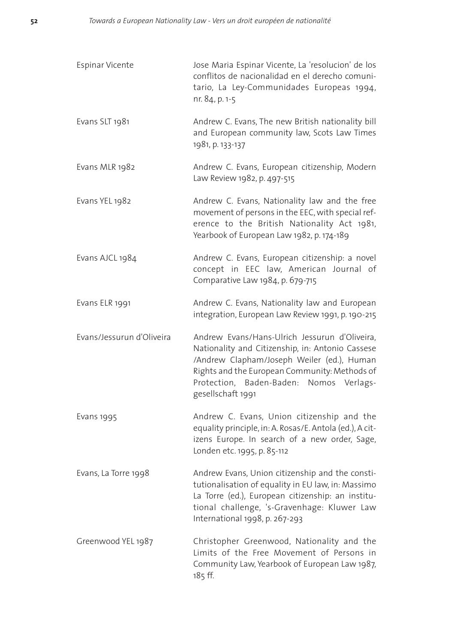| Espinar Vicente           | Jose Maria Espinar Vicente, La 'resolucion' de los<br>conflitos de nacionalidad en el derecho comuni-<br>tario, La Ley-Communidades Europeas 1994,<br>nr. 84, p. 1-5                                                                                             |
|---------------------------|------------------------------------------------------------------------------------------------------------------------------------------------------------------------------------------------------------------------------------------------------------------|
| Evans SLT 1981            | Andrew C. Evans, The new British nationality bill<br>and European community law, Scots Law Times<br>1981, p. 133-137                                                                                                                                             |
| Evans MLR 1982            | Andrew C. Evans, European citizenship, Modern<br>Law Review 1982, p. 497-515                                                                                                                                                                                     |
| Evans YEL 1982            | Andrew C. Evans, Nationality law and the free<br>movement of persons in the EEC, with special ref-<br>erence to the British Nationality Act 1981,<br>Yearbook of European Law 1982, p. 174-189                                                                   |
| Evans AJCL 1984           | Andrew C. Evans, European citizenship: a novel<br>concept in EEC law, American Journal of<br>Comparative Law 1984, p. 679-715                                                                                                                                    |
| Evans ELR 1991            | Andrew C. Evans, Nationality law and European<br>integration, European Law Review 1991, p. 190-215                                                                                                                                                               |
| Evans/Jessurun d'Oliveira | Andrew Evans/Hans-Ulrich Jessurun d'Oliveira,<br>Nationality and Citizenship, in: Antonio Cassese<br>/Andrew Clapham/Joseph Weiler (ed.), Human<br>Rights and the European Community: Methods of<br>Protection, Baden-Baden: Nomos Verlags-<br>gesellschaft 1991 |
| Evans 1995                | Andrew C. Evans, Union citizenship and the<br>equality principle, in: A. Rosas/E. Antola (ed.), A cit-<br>izens Europe. In search of a new order, Sage,<br>Londen etc. 1995, p. 85-112                                                                           |
| Evans, La Torre 1998      | Andrew Evans, Union citizenship and the consti-<br>tutionalisation of equality in EU law, in: Massimo<br>La Torre (ed.), European citizenship: an institu-<br>tional challenge, 's-Gravenhage: Kluwer Law<br>International 1998, p. 267-293                      |
| Greenwood YEL 1987        | Christopher Greenwood, Nationality and the<br>Limits of the Free Movement of Persons in<br>Community Law, Yearbook of European Law 1987,<br>185 ff.                                                                                                              |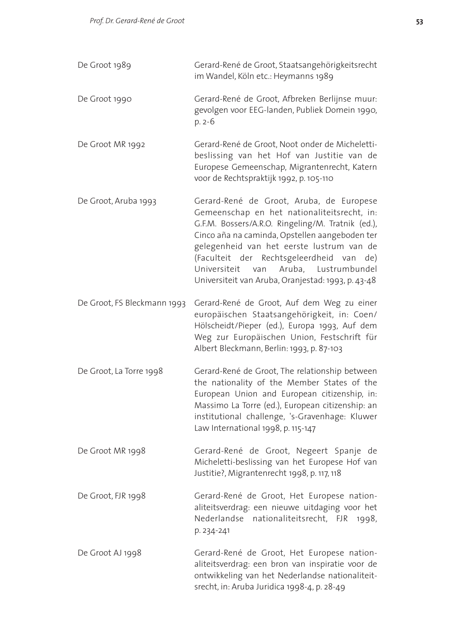| De Groot 1989               | Gerard-René de Groot, Staatsangehörigkeitsrecht<br>im Wandel, Köln etc.: Heymanns 1989                                                                                                                                                                                                                                                                                                          |
|-----------------------------|-------------------------------------------------------------------------------------------------------------------------------------------------------------------------------------------------------------------------------------------------------------------------------------------------------------------------------------------------------------------------------------------------|
| De Groot 1990               | Gerard-René de Groot, Afbreken Berlijnse muur:<br>gevolgen voor EEG-landen, Publiek Domein 1990,<br>p. 2-6                                                                                                                                                                                                                                                                                      |
| De Groot MR 1992            | Gerard-René de Groot, Noot onder de Micheletti-<br>beslissing van het Hof van Justitie van de<br>Europese Gemeenschap, Migrantenrecht, Katern<br>voor de Rechtspraktijk 1992, p. 105-110                                                                                                                                                                                                        |
| De Groot, Aruba 1993        | Gerard-René de Groot, Aruba, de Europese<br>Gemeenschap en het nationaliteitsrecht, in:<br>G.F.M. Bossers/A.R.O. Ringeling/M. Tratnik (ed.),<br>Cinco aña na caminda, Opstellen aangeboden ter<br>gelegenheid van het eerste lustrum van de<br>(Faculteit der Rechtsgeleerdheid van de)<br>Lustrumbundel<br>Universiteit<br>van<br>Aruba,<br>Universiteit van Aruba, Oranjestad: 1993, p. 43-48 |
| De Groot, FS Bleckmann 1993 | Gerard-René de Groot, Auf dem Weg zu einer<br>europäischen Staatsangehörigkeit, in: Coen/<br>Hölscheidt/Pieper (ed.), Europa 1993, Auf dem<br>Weg zur Europäischen Union, Festschrift für<br>Albert Bleckmann, Berlin: 1993, p. 87-103                                                                                                                                                          |
| De Groot, La Torre 1998     | Gerard-René de Groot, The relationship between<br>the nationality of the Member States of the<br>European Union and European citizenship, in:<br>Massimo La Torre (ed.), European citizenship: an<br>institutional challenge, 's-Gravenhage: Kluwer<br>Law International 1998, p. 115-147                                                                                                       |
| De Groot MR 1998            | Gerard-René de Groot, Negeert Spanje de<br>Micheletti-beslissing van het Europese Hof van<br>Justitie?, Migrantenrecht 1998, p. 117, 118                                                                                                                                                                                                                                                        |
| De Groot, FJR 1998          | Gerard-René de Groot, Het Europese nation-<br>aliteitsverdrag: een nieuwe uitdaging voor het<br>Nederlandse nationaliteitsrecht, FJR<br>1998,<br>p. 234-241                                                                                                                                                                                                                                     |
| De Groot AJ 1998            | Gerard-René de Groot, Het Europese nation-<br>aliteitsverdrag: een bron van inspiratie voor de<br>ontwikkeling van het Nederlandse nationaliteit-<br>srecht, in: Aruba Juridica 1998-4, p. 28-49                                                                                                                                                                                                |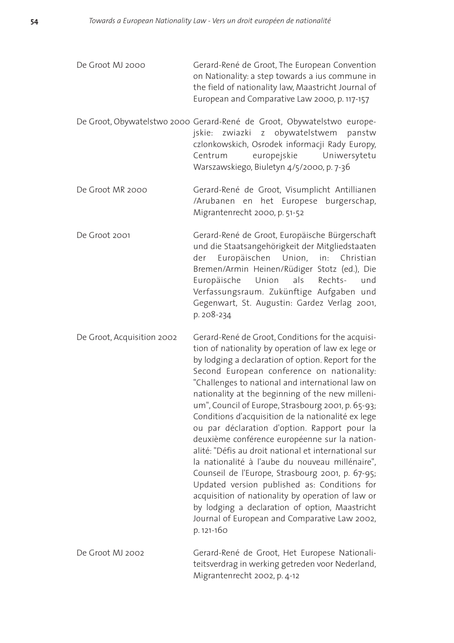De Groot MJ 2000 Gerard-René de Groot, The European Convention on Nationality: a step towards a ius commune in the field of nationality law, Maastricht Journal of European and Comparative Law 2000, p. 117-157

- De Groot, Obywatelstwo 2000 Gerard-René de Groot, Obywatelstwo europejskie: zwiazki z obywatelstwem panstw czlonkowskich, Osrodek informacji Rady Europy, Centrum europejskie Uniwersytetu Warszawskiego, Biuletyn 4/5/2000, p. 7-36
- De Groot MR 2000 Gerard-René de Groot, Visumplicht Antillianen /Arubanen en het Europese burgerschap, Migrantenrecht 2000, p. 51-52
- De Groot 2001 Gerard-René de Groot, Europäische Bürgerschaft und die Staatsangehörigkeit der Mitgliedstaaten der Europäischen Union, in: Christian Bremen/Armin Heinen/Rüdiger Stotz (ed.), Die Europäische Union als Rechts- und Verfassungsraum. Zukünftige Aufgaben und Gegenwart, St. Augustin: Gardez Verlag 2001, p. 208-234
- De Groot, Acquisition 2002 Gerard-René de Groot, Conditions for the acquisition of nationality by operation of law ex lege or by lodging a declaration of option. Report for the Second European conference on nationality: "Challenges to national and international law on nationality at the beginning of the new millenium", Council of Europe, Strasbourg 2001, p. 65-93; Conditions d'acquisition de la nationalité ex lege ou par déclaration d'option. Rapport pour la deuxième conférence européenne sur la nationalité: "Défis au droit national et international sur la nationalité à l'aube du nouveau millénaire", Counseil de l'Europe, Strasbourg 2001, p. 67-95; Updated version published as: Conditions for acquisition of nationality by operation of law or by lodging a declaration of option, Maastricht Journal of European and Comparative Law 2002, p. 121-160
- De Groot MJ 2002 Gerard-René de Groot, Het Europese Nationaliteitsverdrag in werking getreden voor Nederland, Migrantenrecht 2002, p. 4-12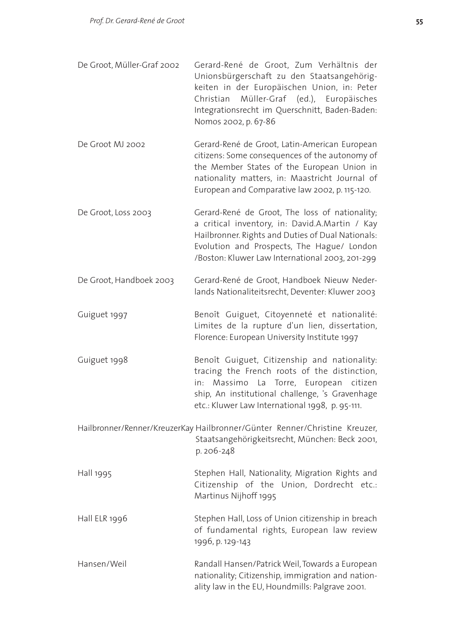- De Groot, Müller-Graf 2002 Gerard-René de Groot, Zum Verhältnis der Unionsbürgerschaft zu den Staatsangehörigkeiten in der Europäischen Union, in: Peter Christian Müller-Graf (ed.), Europäisches Integrationsrecht im Querschnitt, Baden-Baden: Nomos 2002, p. 67-86
- De Groot MJ 2002 Gerard-René de Groot, Latin-American European citizens: Some consequences of the autonomy of the Member States of the European Union in nationality matters, in: Maastricht Journal of European and Comparative law 2002, p. 115-120.
- De Groot, Loss 2003 Gerard-René de Groot, The loss of nationality; a critical inventory, in: David.A.Martin / Kay Hailbronner. Rights and Duties of Dual Nationals: Evolution and Prospects, The Hague/ London /Boston: Kluwer Law International 2003, 201-299
- De Groot, Handboek 2003 Gerard-René de Groot, Handboek Nieuw Nederlands Nationaliteitsrecht, Deventer: Kluwer 2003
- Guiguet 1997 Benoît Guiguet, Citoyenneté et nationalité: Limites de la rupture d'un lien, dissertation, Florence: European University Institute 1997
- Guiguet 1998 **Benoît Guiguet, Citizenship and nationality:** tracing the French roots of the distinction, in: Massimo La Torre, European citizen ship, An institutional challenge, 's Gravenhage etc.: Kluwer Law International 1998, p. 95-111.
- Hailbronner/Renner/KreuzerKay Hailbronner/Günter Renner/Christine Kreuzer, Staatsangehörigkeitsrecht, München: Beck 2001, p. 206-248
- Hall 1995 Stephen Hall, Nationality, Migration Rights and Citizenship of the Union, Dordrecht etc.: Martinus Nijhoff 1995
- Hall ELR 1996 Stephen Hall, Loss of Union citizenship in breach of fundamental rights, European law review 1996, p. 129-143
- Hansen/Weil Randall Hansen/Patrick Weil, Towards a European nationality; Citizenship, immigration and nationality law in the EU, Houndmills: Palgrave 2001.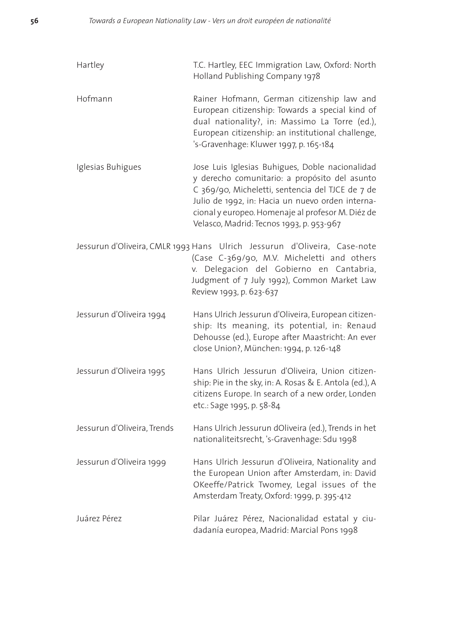| Hartley                     | T.C. Hartley, EEC Immigration Law, Oxford: North<br>Holland Publishing Company 1978                                                                                                                                                                                                                       |
|-----------------------------|-----------------------------------------------------------------------------------------------------------------------------------------------------------------------------------------------------------------------------------------------------------------------------------------------------------|
| Hofmann                     | Rainer Hofmann, German citizenship law and<br>European citizenship: Towards a special kind of<br>dual nationality?, in: Massimo La Torre (ed.),<br>European citizenship: an institutional challenge,<br>'s-Gravenhage: Kluwer 1997, p. 165-184                                                            |
| Iglesias Buhigues           | Jose Luis Iglesias Buhigues, Doble nacionalidad<br>y derecho comunitario: a propósito del asunto<br>C 369/90, Micheletti, sentencia del TJCE de 7 de<br>Julio de 1992, in: Hacia un nuevo orden interna-<br>cional y europeo. Homenaje al profesor M. Diéz de<br>Velasco, Madrid: Tecnos 1993, p. 953-967 |
|                             | Jessurun d'Oliveira, CMLR 1993 Hans Ulrich Jessurun d'Oliveira, Case-note<br>(Case C-369/90, M.V. Micheletti and others<br>v. Delegacion del Gobierno en Cantabria,<br>Judgment of 7 July 1992), Common Market Law<br>Review 1993, p. 623-637                                                             |
| Jessurun d'Oliveira 1994    | Hans Ulrich Jessurun d'Oliveira, European citizen-<br>ship: Its meaning, its potential, in: Renaud<br>Dehousse (ed.), Europe after Maastricht: An ever<br>close Union?, München: 1994, p. 126-148                                                                                                         |
| Jessurun d'Oliveira 1995    | Hans Ulrich Jessurun d'Oliveira, Union citizen-<br>ship: Pie in the sky, in: A. Rosas & E. Antola (ed.), A<br>citizens Europe. In search of a new order, Londen<br>etc.: Sage 1995, p. 58-84                                                                                                              |
| Jessurun d'Oliveira, Trends | Hans Ulrich Jessurun dOliveira (ed.), Trends in het<br>nationaliteitsrecht, 's-Gravenhage: Sdu 1998                                                                                                                                                                                                       |
| Jessurun d'Oliveira 1999    | Hans Ulrich Jessurun d'Oliveira, Nationality and<br>the European Union after Amsterdam, in: David<br>OKeeffe/Patrick Twomey, Legal issues of the<br>Amsterdam Treaty, Oxford: 1999, p. 395-412                                                                                                            |
| Juárez Pérez                | Pilar Juárez Pérez, Nacionalidad estatal y ciu-<br>dadanía europea, Madrid: Marcial Pons 1998                                                                                                                                                                                                             |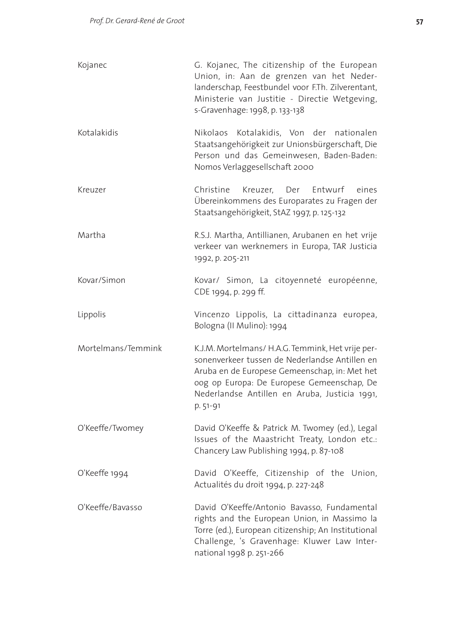| Kojanec            | G. Kojanec, The citizenship of the European<br>Union, in: Aan de grenzen van het Neder-<br>landerschap, Feestbundel voor F.Th. Zilverentant,<br>Ministerie van Justitie - Directie Wetgeving,<br>s-Gravenhage: 1998, p. 133-138                                 |
|--------------------|-----------------------------------------------------------------------------------------------------------------------------------------------------------------------------------------------------------------------------------------------------------------|
| Kotalakidis        | Kotalakidis, Von der nationalen<br>Nikolaos<br>Staatsangehörigkeit zur Unionsbürgerschaft, Die<br>Person und das Gemeinwesen, Baden-Baden:<br>Nomos Verlaggesellschaft 2000                                                                                     |
| Kreuzer            | Christine<br>Kreuzer, Der Entwurf<br>eines<br>Übereinkommens des Europarates zu Fragen der<br>Staatsangehörigkeit, StAZ 1997, p. 125-132                                                                                                                        |
| Martha             | R.S.J. Martha, Antillianen, Arubanen en het vrije<br>verkeer van werknemers in Europa, TAR Justicia<br>1992, p. 205-211                                                                                                                                         |
| Kovar/Simon        | Kovar/ Simon, La citoyenneté européenne,<br>CDE 1994, p. 299 ff.                                                                                                                                                                                                |
| Lippolis           | Vincenzo Lippolis, La cittadinanza europea,<br>Bologna (II Mulino): 1994                                                                                                                                                                                        |
| Mortelmans/Temmink | K.J.M. Mortelmans/ H.A.G. Temmink, Het vrije per-<br>sonenverkeer tussen de Nederlandse Antillen en<br>Aruba en de Europese Gemeenschap, in: Met het<br>oog op Europa: De Europese Gemeenschap, De<br>Nederlandse Antillen en Aruba, Justicia 1991,<br>p. 51-91 |
| O'Keeffe/Twomey    | David O'Keeffe & Patrick M. Twomey (ed.), Legal<br>Issues of the Maastricht Treaty, London etc.:<br>Chancery Law Publishing 1994, p. 87-108                                                                                                                     |
| O'Keeffe 1994      | David O'Keeffe, Citizenship of the Union,<br>Actualités du droit 1994, p. 227-248                                                                                                                                                                               |
| O'Keeffe/Bavasso   | David O'Keeffe/Antonio Bavasso, Fundamental<br>rights and the European Union, in Massimo la<br>Torre (ed.), European citizenship; An Institutional<br>Challenge, 's Gravenhage: Kluwer Law Inter-<br>national 1998 p. 251-266                                   |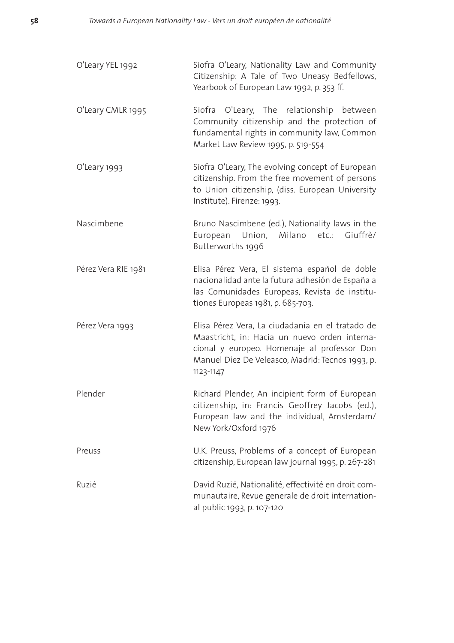| O'Leary YEL 1992    | Siofra O'Leary, Nationality Law and Community<br>Citizenship: A Tale of Two Uneasy Bedfellows,<br>Yearbook of European Law 1992, p. 353 ff.                                                                       |
|---------------------|-------------------------------------------------------------------------------------------------------------------------------------------------------------------------------------------------------------------|
| O'Leary CMLR 1995   | Siofra<br>O'Leary, The relationship<br>between<br>Community citizenship and the protection of<br>fundamental rights in community law, Common<br>Market Law Review 1995, p. 519-554                                |
| O'Leary 1993        | Siofra O'Leary, The evolving concept of European<br>citizenship. From the free movement of persons<br>to Union citizenship, (diss. European University<br>Institute). Firenze: 1993.                              |
| Nascimbene          | Bruno Nascimbene (ed.), Nationality laws in the<br>European Union, Milano etc.: Giuffrè/<br>Butterworths 1996                                                                                                     |
| Pérez Vera RIE 1981 | Elisa Pérez Vera, El sistema español de doble<br>nacionalidad ante la futura adhesión de España a<br>las Comunidades Europeas, Revista de institu-<br>tiones Europeas 1981, p. 685-703.                           |
| Pérez Vera 1993     | Elisa Pérez Vera, La ciudadanía en el tratado de<br>Maastricht, in: Hacia un nuevo orden interna-<br>cional y europeo. Homenaje al professor Don<br>Manuel Díez De Veleasco, Madrid: Tecnos 1993, p.<br>1123-1147 |
| Plender             | Richard Plender, An incipient form of European<br>citizenship, in: Francis Geoffrey Jacobs (ed.),<br>European law and the individual, Amsterdam/<br>New York/Oxford 1976                                          |
| Preuss              | U.K. Preuss, Problems of a concept of European<br>citizenship, European law journal 1995, p. 267-281                                                                                                              |
| Ruzié               | David Ruzié, Nationalité, effectivité en droit com-<br>munautaire, Revue generale de droit internation-<br>al public 1993, p. 107-120                                                                             |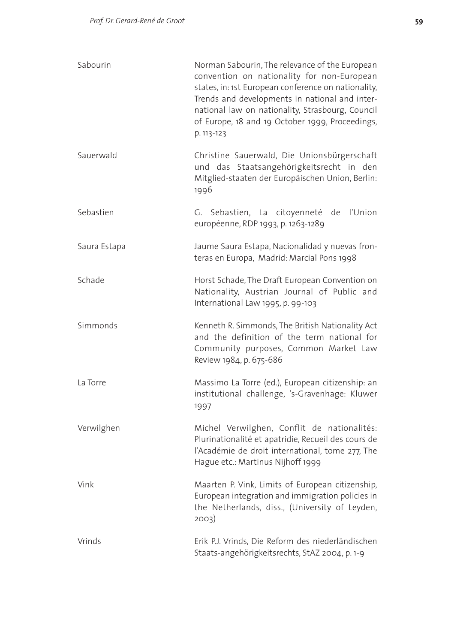| Sabourin     | Norman Sabourin, The relevance of the European<br>convention on nationality for non-European<br>states, in: 1st European conference on nationality,<br>Trends and developments in national and inter-<br>national law on nationality, Strasbourg, Council<br>of Europe, 18 and 19 October 1999, Proceedings,<br>p. 113-123 |
|--------------|----------------------------------------------------------------------------------------------------------------------------------------------------------------------------------------------------------------------------------------------------------------------------------------------------------------------------|
| Sauerwald    | Christine Sauerwald, Die Unionsbürgerschaft<br>und das Staatsangehörigkeitsrecht in den<br>Mitglied-staaten der Europäischen Union, Berlin:<br>1996                                                                                                                                                                        |
| Sebastien    | G. Sebastien, La citoyenneté de<br>l'Union<br>européenne, RDP 1993, p. 1263-1289                                                                                                                                                                                                                                           |
| Saura Estapa | Jaume Saura Estapa, Nacionalidad y nuevas fron-<br>teras en Europa, Madrid: Marcial Pons 1998                                                                                                                                                                                                                              |
| Schade       | Horst Schade, The Draft European Convention on<br>Nationality, Austrian Journal of Public and<br>International Law 1995, p. 99-103                                                                                                                                                                                         |
| Simmonds     | Kenneth R. Simmonds, The British Nationality Act<br>and the definition of the term national for<br>Community purposes, Common Market Law<br>Review 1984, p. 675-686                                                                                                                                                        |
| La Torre     | Massimo La Torre (ed.), European citizenship: an<br>institutional challenge, 's-Gravenhage: Kluwer<br>1997                                                                                                                                                                                                                 |
| Verwilghen   | Michel Verwilghen, Conflit de nationalités:<br>Plurinationalité et apatridie, Recueil des cours de<br>l'Académie de droit international, tome 277, The<br>Hague etc.: Martinus Nijhoff 1999                                                                                                                                |
| Vink         | Maarten P. Vink, Limits of European citizenship,<br>European integration and immigration policies in<br>the Netherlands, diss., (University of Leyden,<br>2003)                                                                                                                                                            |
| Vrinds       | Erik P.J. Vrinds, Die Reform des niederländischen<br>Staats-angehörigkeitsrechts, StAZ 2004, p. 1-9                                                                                                                                                                                                                        |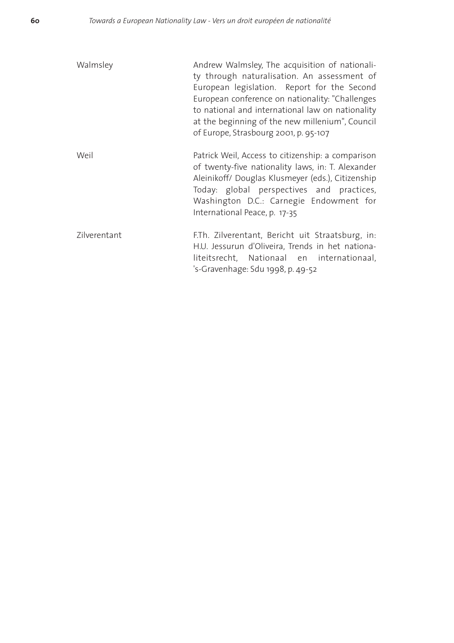| Walmsley     | Andrew Walmsley, The acquisition of nationali-<br>ty through naturalisation. An assessment of<br>European legislation. Report for the Second<br>European conference on nationality: "Challenges<br>to national and international law on nationality<br>at the beginning of the new millenium", Council<br>of Europe, Strasbourg 2001, p. 95-107 |
|--------------|-------------------------------------------------------------------------------------------------------------------------------------------------------------------------------------------------------------------------------------------------------------------------------------------------------------------------------------------------|
| Weil         | Patrick Weil, Access to citizenship: a comparison<br>of twenty-five nationality laws, in: T. Alexander<br>Aleinikoff/ Douglas Klusmeyer (eds.), Citizenship<br>Today: global perspectives and practices,<br>Washington D.C.: Carnegie Endowment for<br>International Peace, p. 17-35                                                            |
| Zilverentant | F.Th. Zilverentant, Bericht uit Straatsburg, in:<br>H.U. Jessurun d'Oliveira, Trends in het nationa-<br>liteitsrecht, Nationaal en internationaal,<br>'s-Gravenhage: Sdu 1998, p. 49-52                                                                                                                                                         |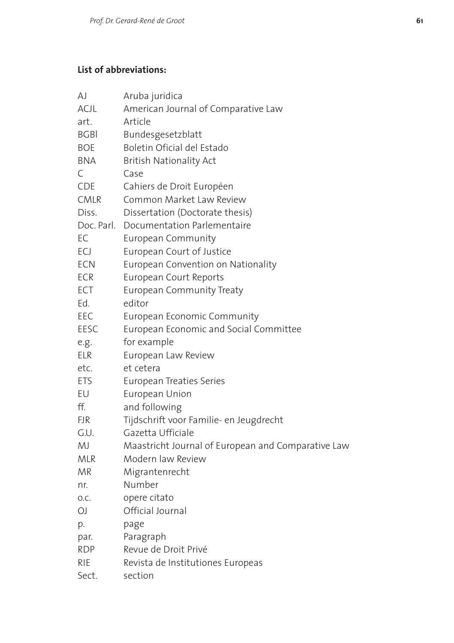# **List of abbreviations:**

| AJ          | Aruba juridica                                     |
|-------------|----------------------------------------------------|
| ACJL        | American Journal of Comparative Law                |
| art.        | Article                                            |
| <b>BGBI</b> | Bundesgesetzblatt                                  |
| <b>BOE</b>  | Boletin Oficial del Estado                         |
| <b>BNA</b>  | British Nationality Act                            |
| C           | Case                                               |
| CDE         | Cahiers de Droit Européen                          |
| <b>CMLR</b> | Common Market Law Review                           |
| Diss.       | Dissertation (Doctorate thesis)                    |
| Doc. Parl.  | Documentation Parlementaire                        |
| EC          | European Community                                 |
| ECJ         | European Court of Justice                          |
| <b>ECN</b>  | European Convention on Nationality                 |
| <b>ECR</b>  | European Court Reports                             |
| ECT         | <b>European Community Treaty</b>                   |
| Ed.         | editor                                             |
| EEC         | European Economic Community                        |
| EESC        | European Economic and Social Committee             |
| e.g.        | for example                                        |
| <b>ELR</b>  | European Law Review                                |
| etc.        | et cetera                                          |
| <b>ETS</b>  | European Treaties Series                           |
| EU          | European Union                                     |
| ff.         | and following                                      |
| <b>FJR</b>  | Tijdschrift voor Familie- en Jeugdrecht            |
| G.U.        | Gazetta Ufficiale                                  |
| MJ          | Maastricht Journal of European and Comparative Law |
| <b>MLR</b>  | Modern law Review                                  |
| MR          | Migrantenrecht                                     |
| nr.         | Number                                             |
| O.C.        | opere citato                                       |
| OJ          | Official Journal                                   |
| p.          | page                                               |
| par.        | Paragraph                                          |
| <b>RDP</b>  | Revue de Droit Privé                               |
| <b>RIE</b>  | Revista de Institutiones Europeas                  |
| Sect.       | section                                            |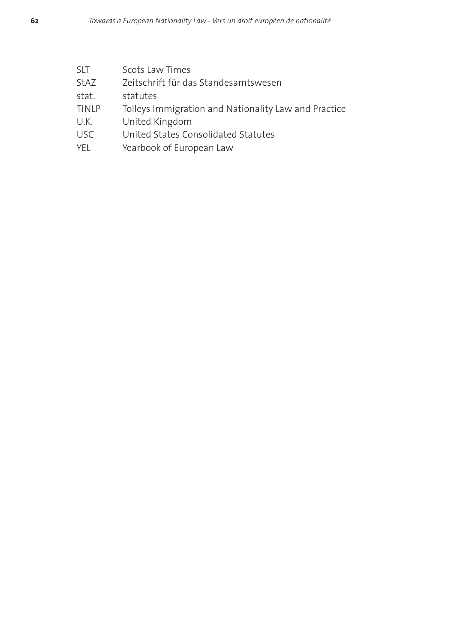| SLT   | Scots Law Times                                      |
|-------|------------------------------------------------------|
| StAZ  | Zeitschrift für das Standesamtswesen                 |
| stat. | statutes                                             |
| TINLP | Tolleys Immigration and Nationality Law and Practice |
| U.K.  | United Kingdom                                       |
| USC   | United States Consolidated Statutes                  |
| YEL   | Yearbook of European Law                             |
|       |                                                      |